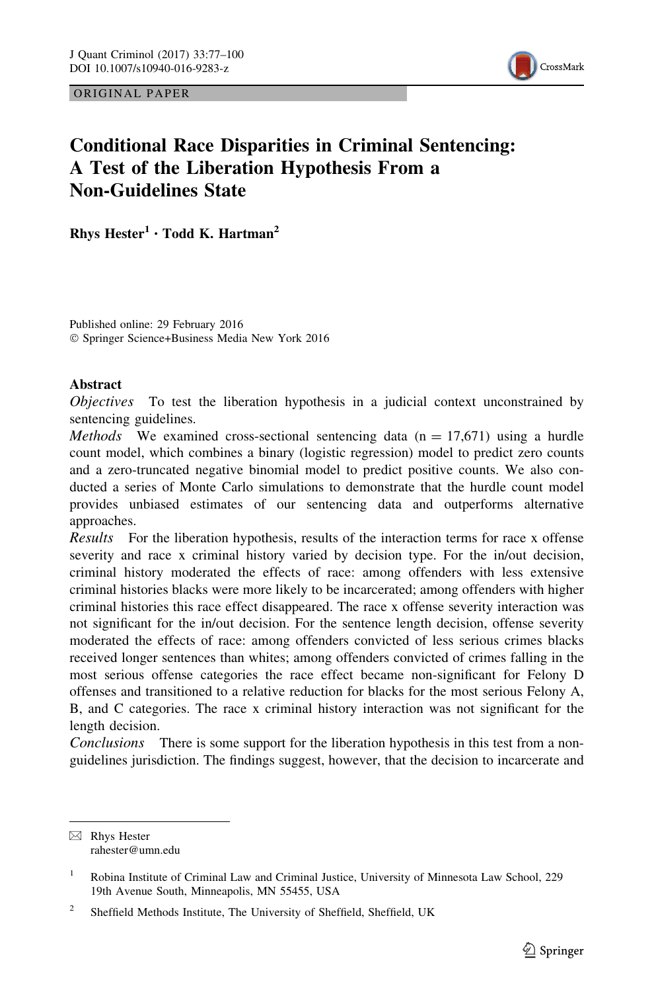ORIGINAL PAPER



# Conditional Race Disparities in Criminal Sentencing: A Test of the Liberation Hypothesis From a Non-Guidelines State

Rhys  $Hester<sup>1</sup> \cdot Todd K. Hartman<sup>2</sup>$ 

Published online: 29 February 2016 - Springer Science+Business Media New York 2016

## **Abstract**

Objectives To test the liberation hypothesis in a judicial context unconstrained by sentencing guidelines.

Methods We examined cross-sectional sentencing data  $(n = 17,671)$  using a hurdle count model, which combines a binary (logistic regression) model to predict zero counts and a zero-truncated negative binomial model to predict positive counts. We also conducted a series of Monte Carlo simulations to demonstrate that the hurdle count model provides unbiased estimates of our sentencing data and outperforms alternative approaches.

Results For the liberation hypothesis, results of the interaction terms for race x offense severity and race x criminal history varied by decision type. For the in/out decision, criminal history moderated the effects of race: among offenders with less extensive criminal histories blacks were more likely to be incarcerated; among offenders with higher criminal histories this race effect disappeared. The race x offense severity interaction was not significant for the in/out decision. For the sentence length decision, offense severity moderated the effects of race: among offenders convicted of less serious crimes blacks received longer sentences than whites; among offenders convicted of crimes falling in the most serious offense categories the race effect became non-significant for Felony D offenses and transitioned to a relative reduction for blacks for the most serious Felony A, B, and C categories. The race x criminal history interaction was not significant for the length decision.

Conclusions There is some support for the liberation hypothesis in this test from a nonguidelines jurisdiction. The findings suggest, however, that the decision to incarcerate and

 $\boxtimes$  Rhys Hester rahester@umn.edu

<sup>&</sup>lt;sup>1</sup> Robina Institute of Criminal Law and Criminal Justice, University of Minnesota Law School, 229 19th Avenue South, Minneapolis, MN 55455, USA

<sup>&</sup>lt;sup>2</sup> Sheffield Methods Institute, The University of Sheffield, Sheffield, UK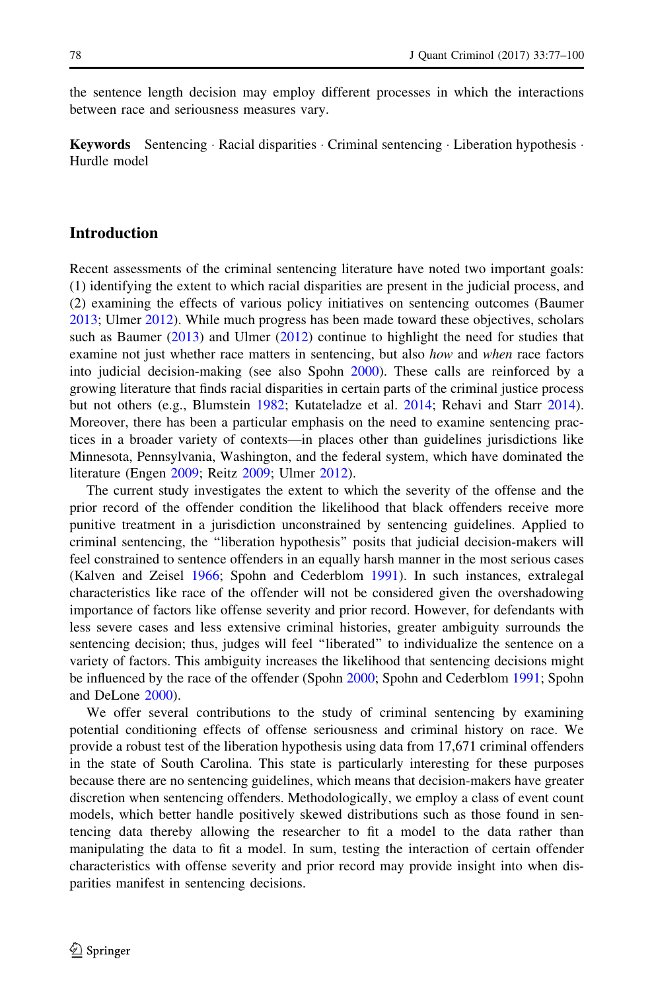the sentence length decision may employ different processes in which the interactions between race and seriousness measures vary.

Keywords Sentencing · Racial disparities · Criminal sentencing · Liberation hypothesis · Hurdle model

# Introduction

Recent assessments of the criminal sentencing literature have noted two important goals: (1) identifying the extent to which racial disparities are present in the judicial process, and (2) examining the effects of various policy initiatives on sentencing outcomes (Baumer [2013;](#page-21-0) Ulmer [2012\)](#page-23-0). While much progress has been made toward these objectives, scholars such as Baumer  $(2013)$  $(2013)$  and Ulmer  $(2012)$  $(2012)$  continue to highlight the need for studies that examine not just whether race matters in sentencing, but also *how* and *when* race factors into judicial decision-making (see also Spohn [2000\)](#page-23-0). These calls are reinforced by a growing literature that finds racial disparities in certain parts of the criminal justice process but not others (e.g., Blumstein [1982](#page-22-0); Kutateladze et al. [2014](#page-22-0); Rehavi and Starr [2014](#page-23-0)). Moreover, there has been a particular emphasis on the need to examine sentencing practices in a broader variety of contexts—in places other than guidelines jurisdictions like Minnesota, Pennsylvania, Washington, and the federal system, which have dominated the literature (Engen [2009;](#page-22-0) Reitz [2009;](#page-23-0) Ulmer [2012\)](#page-23-0).

The current study investigates the extent to which the severity of the offense and the prior record of the offender condition the likelihood that black offenders receive more punitive treatment in a jurisdiction unconstrained by sentencing guidelines. Applied to criminal sentencing, the ''liberation hypothesis'' posits that judicial decision-makers will feel constrained to sentence offenders in an equally harsh manner in the most serious cases (Kalven and Zeisel [1966](#page-22-0); Spohn and Cederblom [1991](#page-23-0)). In such instances, extralegal characteristics like race of the offender will not be considered given the overshadowing importance of factors like offense severity and prior record. However, for defendants with less severe cases and less extensive criminal histories, greater ambiguity surrounds the sentencing decision; thus, judges will feel ''liberated'' to individualize the sentence on a variety of factors. This ambiguity increases the likelihood that sentencing decisions might be influenced by the race of the offender (Spohn [2000](#page-23-0); Spohn and Cederblom [1991](#page-23-0); Spohn and DeLone [2000](#page-23-0)).

We offer several contributions to the study of criminal sentencing by examining potential conditioning effects of offense seriousness and criminal history on race. We provide a robust test of the liberation hypothesis using data from 17,671 criminal offenders in the state of South Carolina. This state is particularly interesting for these purposes because there are no sentencing guidelines, which means that decision-makers have greater discretion when sentencing offenders. Methodologically, we employ a class of event count models, which better handle positively skewed distributions such as those found in sentencing data thereby allowing the researcher to fit a model to the data rather than manipulating the data to fit a model. In sum, testing the interaction of certain offender characteristics with offense severity and prior record may provide insight into when disparities manifest in sentencing decisions.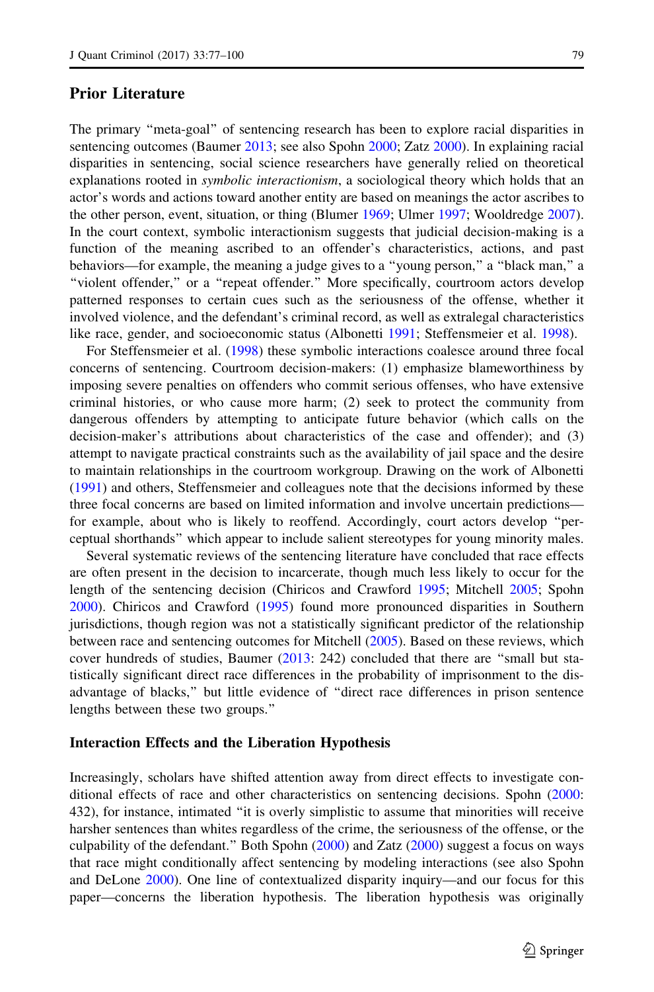The primary ''meta-goal'' of sentencing research has been to explore racial disparities in sentencing outcomes (Baumer [2013](#page-21-0); see also Spohn [2000;](#page-23-0) Zatz [2000](#page-23-0)). In explaining racial disparities in sentencing, social science researchers have generally relied on theoretical explanations rooted in *symbolic interactionism*, a sociological theory which holds that an actor's words and actions toward another entity are based on meanings the actor ascribes to the other person, event, situation, or thing (Blumer [1969](#page-21-0); Ulmer [1997](#page-23-0); Wooldredge [2007](#page-23-0)). In the court context, symbolic interactionism suggests that judicial decision-making is a function of the meaning ascribed to an offender's characteristics, actions, and past behaviors—for example, the meaning a judge gives to a ''young person,'' a ''black man,'' a ''violent offender,'' or a ''repeat offender.'' More specifically, courtroom actors develop patterned responses to certain cues such as the seriousness of the offense, whether it involved violence, and the defendant's criminal record, as well as extralegal characteristics like race, gender, and socioeconomic status (Albonetti [1991;](#page-21-0) Steffensmeier et al. [1998\)](#page-23-0).

For Steffensmeier et al. ([1998\)](#page-23-0) these symbolic interactions coalesce around three focal concerns of sentencing. Courtroom decision-makers: (1) emphasize blameworthiness by imposing severe penalties on offenders who commit serious offenses, who have extensive criminal histories, or who cause more harm; (2) seek to protect the community from dangerous offenders by attempting to anticipate future behavior (which calls on the decision-maker's attributions about characteristics of the case and offender); and (3) attempt to navigate practical constraints such as the availability of jail space and the desire to maintain relationships in the courtroom workgroup. Drawing on the work of Albonetti ([1991\)](#page-21-0) and others, Steffensmeier and colleagues note that the decisions informed by these three focal concerns are based on limited information and involve uncertain predictions for example, about who is likely to reoffend. Accordingly, court actors develop ''perceptual shorthands'' which appear to include salient stereotypes for young minority males.

Several systematic reviews of the sentencing literature have concluded that race effects are often present in the decision to incarcerate, though much less likely to occur for the length of the sentencing decision (Chiricos and Crawford [1995;](#page-22-0) Mitchell [2005;](#page-23-0) Spohn [2000\)](#page-23-0). Chiricos and Crawford [\(1995](#page-22-0)) found more pronounced disparities in Southern jurisdictions, though region was not a statistically significant predictor of the relationship between race and sentencing outcomes for Mitchell ([2005\)](#page-23-0). Based on these reviews, which cover hundreds of studies, Baumer ([2013:](#page-21-0) 242) concluded that there are ''small but statistically significant direct race differences in the probability of imprisonment to the disadvantage of blacks,'' but little evidence of ''direct race differences in prison sentence lengths between these two groups.''

#### Interaction Effects and the Liberation Hypothesis

Increasingly, scholars have shifted attention away from direct effects to investigate conditional effects of race and other characteristics on sentencing decisions. Spohn [\(2000:](#page-23-0) 432), for instance, intimated ''it is overly simplistic to assume that minorities will receive harsher sentences than whites regardless of the crime, the seriousness of the offense, or the culpability of the defendant.'' Both Spohn ([2000\)](#page-23-0) and Zatz [\(2000\)](#page-23-0) suggest a focus on ways that race might conditionally affect sentencing by modeling interactions (see also Spohn and DeLone [2000\)](#page-23-0). One line of contextualized disparity inquiry—and our focus for this paper—concerns the liberation hypothesis. The liberation hypothesis was originally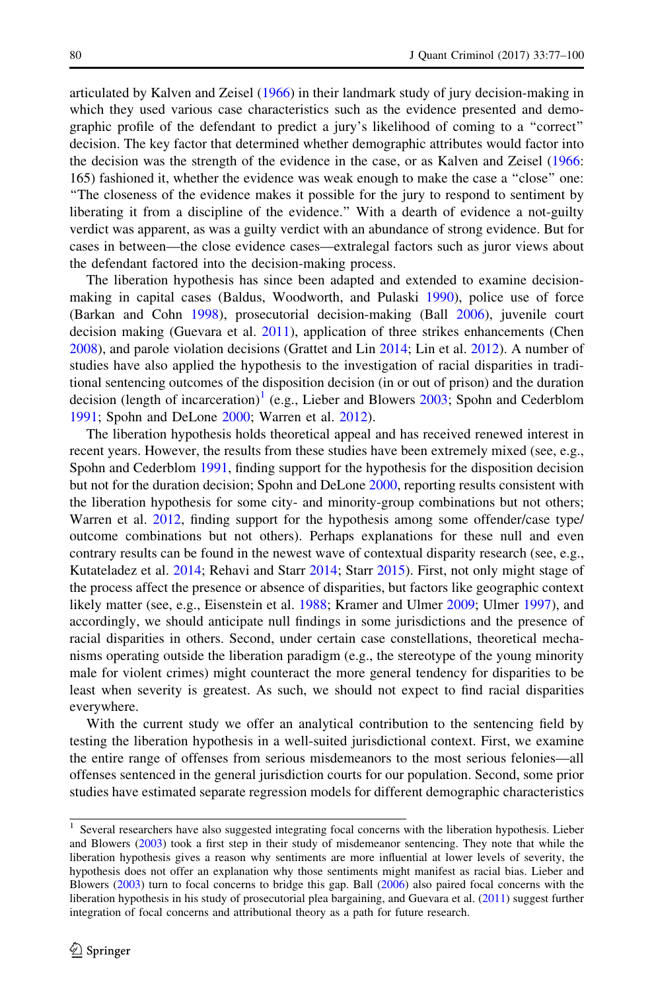articulated by Kalven and Zeisel [\(1966](#page-22-0)) in their landmark study of jury decision-making in which they used various case characteristics such as the evidence presented and demographic profile of the defendant to predict a jury's likelihood of coming to a ''correct'' decision. The key factor that determined whether demographic attributes would factor into the decision was the strength of the evidence in the case, or as Kalven and Zeisel [\(1966:](#page-22-0) 165) fashioned it, whether the evidence was weak enough to make the case a ''close'' one: ''The closeness of the evidence makes it possible for the jury to respond to sentiment by liberating it from a discipline of the evidence.'' With a dearth of evidence a not-guilty verdict was apparent, as was a guilty verdict with an abundance of strong evidence. But for cases in between—the close evidence cases—extralegal factors such as juror views about the defendant factored into the decision-making process.

The liberation hypothesis has since been adapted and extended to examine decisionmaking in capital cases (Baldus, Woodworth, and Pulaski [1990](#page-21-0)), police use of force (Barkan and Cohn [1998](#page-21-0)), prosecutorial decision-making (Ball [2006\)](#page-21-0), juvenile court decision making (Guevara et al. [2011\)](#page-22-0), application of three strikes enhancements (Chen [2008\)](#page-22-0), and parole violation decisions (Grattet and Lin [2014](#page-22-0); Lin et al. [2012\)](#page-23-0). A number of studies have also applied the hypothesis to the investigation of racial disparities in traditional sentencing outcomes of the disposition decision (in or out of prison) and the duration decision (length of incarceration)<sup>1</sup> (e.g., Lieber and Blowers [2003](#page-22-0); Spohn and Cederblom [1991;](#page-23-0) Spohn and DeLone [2000](#page-23-0); Warren et al. [2012](#page-23-0)).

The liberation hypothesis holds theoretical appeal and has received renewed interest in recent years. However, the results from these studies have been extremely mixed (see, e.g., Spohn and Cederblom [1991](#page-23-0), finding support for the hypothesis for the disposition decision but not for the duration decision; Spohn and DeLone [2000](#page-23-0), reporting results consistent with the liberation hypothesis for some city- and minority-group combinations but not others; Warren et al. [2012,](#page-23-0) finding support for the hypothesis among some offender/case type/ outcome combinations but not others). Perhaps explanations for these null and even contrary results can be found in the newest wave of contextual disparity research (see, e.g., Kutateladez et al. [2014](#page-23-0); Rehavi and Starr 2014; Starr [2015](#page-23-0)). First, not only might stage of the process affect the presence or absence of disparities, but factors like geographic context likely matter (see, e.g., Eisenstein et al. [1988;](#page-22-0) Kramer and Ulmer [2009](#page-22-0); Ulmer [1997\)](#page-23-0), and accordingly, we should anticipate null findings in some jurisdictions and the presence of racial disparities in others. Second, under certain case constellations, theoretical mechanisms operating outside the liberation paradigm (e.g., the stereotype of the young minority male for violent crimes) might counteract the more general tendency for disparities to be least when severity is greatest. As such, we should not expect to find racial disparities everywhere.

With the current study we offer an analytical contribution to the sentencing field by testing the liberation hypothesis in a well-suited jurisdictional context. First, we examine the entire range of offenses from serious misdemeanors to the most serious felonies—all offenses sentenced in the general jurisdiction courts for our population. Second, some prior studies have estimated separate regression models for different demographic characteristics

<sup>&</sup>lt;sup>1</sup> Several researchers have also suggested integrating focal concerns with the liberation hypothesis. Lieber and Blowers [\(2003](#page-22-0)) took a first step in their study of misdemeanor sentencing. They note that while the liberation hypothesis gives a reason why sentiments are more influential at lower levels of severity, the hypothesis does not offer an explanation why those sentiments might manifest as racial bias. Lieber and Blowers ([2003\)](#page-22-0) turn to focal concerns to bridge this gap. Ball [\(2006](#page-21-0)) also paired focal concerns with the liberation hypothesis in his study of prosecutorial plea bargaining, and Guevara et al. [\(2011](#page-22-0)) suggest further integration of focal concerns and attributional theory as a path for future research.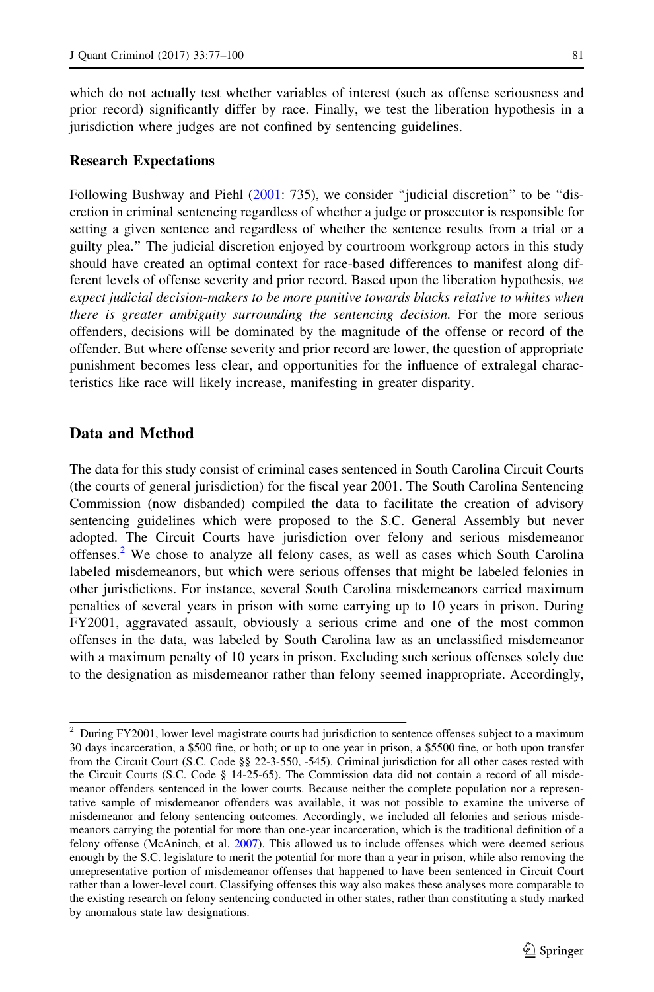which do not actually test whether variables of interest (such as offense seriousness and prior record) significantly differ by race. Finally, we test the liberation hypothesis in a jurisdiction where judges are not confined by sentencing guidelines.

#### Research Expectations

Following Bushway and Piehl [\(2001](#page-22-0): 735), we consider "judicial discretion" to be "discretion in criminal sentencing regardless of whether a judge or prosecutor is responsible for setting a given sentence and regardless of whether the sentence results from a trial or a guilty plea.'' The judicial discretion enjoyed by courtroom workgroup actors in this study should have created an optimal context for race-based differences to manifest along different levels of offense severity and prior record. Based upon the liberation hypothesis, we expect judicial decision-makers to be more punitive towards blacks relative to whites when there is greater ambiguity surrounding the sentencing decision. For the more serious offenders, decisions will be dominated by the magnitude of the offense or record of the offender. But where offense severity and prior record are lower, the question of appropriate punishment becomes less clear, and opportunities for the influence of extralegal characteristics like race will likely increase, manifesting in greater disparity.

## Data and Method

The data for this study consist of criminal cases sentenced in South Carolina Circuit Courts (the courts of general jurisdiction) for the fiscal year 2001. The South Carolina Sentencing Commission (now disbanded) compiled the data to facilitate the creation of advisory sentencing guidelines which were proposed to the S.C. General Assembly but never adopted. The Circuit Courts have jurisdiction over felony and serious misdemeanor offenses.<sup>2</sup> We chose to analyze all felony cases, as well as cases which South Carolina labeled misdemeanors, but which were serious offenses that might be labeled felonies in other jurisdictions. For instance, several South Carolina misdemeanors carried maximum penalties of several years in prison with some carrying up to 10 years in prison. During FY2001, aggravated assault, obviously a serious crime and one of the most common offenses in the data, was labeled by South Carolina law as an unclassified misdemeanor with a maximum penalty of 10 years in prison. Excluding such serious offenses solely due to the designation as misdemeanor rather than felony seemed inappropriate. Accordingly,

<sup>&</sup>lt;sup>2</sup> During FY2001, lower level magistrate courts had jurisdiction to sentence offenses subject to a maximum 30 days incarceration, a \$500 fine, or both; or up to one year in prison, a \$5500 fine, or both upon transfer from the Circuit Court (S.C. Code §§ 22-3-550, -545). Criminal jurisdiction for all other cases rested with the Circuit Courts (S.C. Code § 14-25-65). The Commission data did not contain a record of all misdemeanor offenders sentenced in the lower courts. Because neither the complete population nor a representative sample of misdemeanor offenders was available, it was not possible to examine the universe of misdemeanor and felony sentencing outcomes. Accordingly, we included all felonies and serious misdemeanors carrying the potential for more than one-year incarceration, which is the traditional definition of a felony offense (McAninch, et al. [2007](#page-23-0)). This allowed us to include offenses which were deemed serious enough by the S.C. legislature to merit the potential for more than a year in prison, while also removing the unrepresentative portion of misdemeanor offenses that happened to have been sentenced in Circuit Court rather than a lower-level court. Classifying offenses this way also makes these analyses more comparable to the existing research on felony sentencing conducted in other states, rather than constituting a study marked by anomalous state law designations.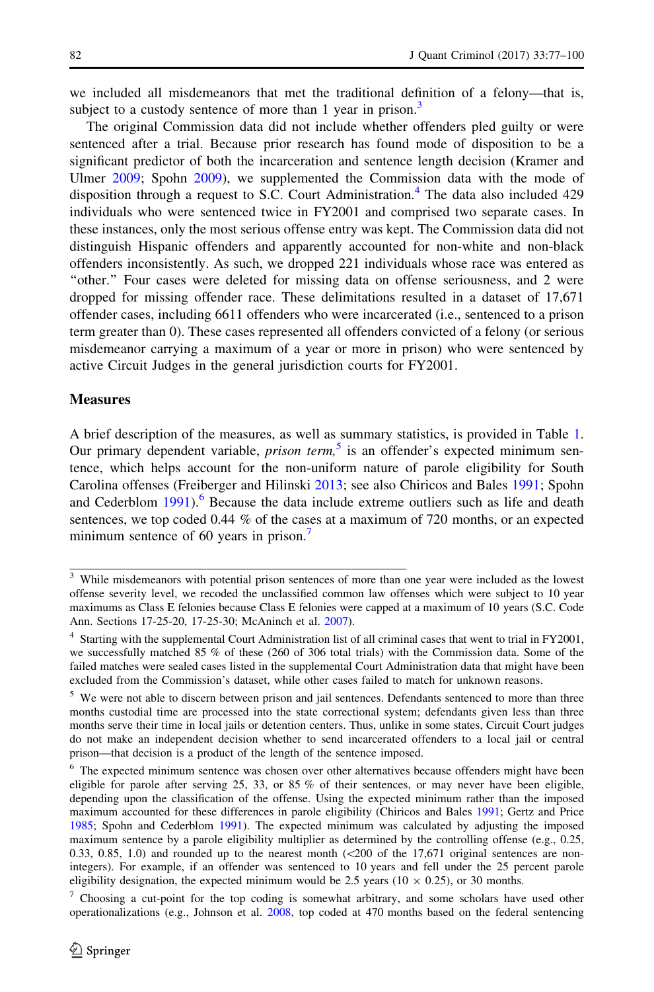we included all misdemeanors that met the traditional definition of a felony—that is, subject to a custody sentence of more than 1 year in prison. $3$ 

The original Commission data did not include whether offenders pled guilty or were sentenced after a trial. Because prior research has found mode of disposition to be a significant predictor of both the incarceration and sentence length decision (Kramer and Ulmer [2009;](#page-22-0) Spohn [2009](#page-23-0)), we supplemented the Commission data with the mode of disposition through a request to S.C. Court Administration.<sup>4</sup> The data also included 429 individuals who were sentenced twice in FY2001 and comprised two separate cases. In these instances, only the most serious offense entry was kept. The Commission data did not distinguish Hispanic offenders and apparently accounted for non-white and non-black offenders inconsistently. As such, we dropped 221 individuals whose race was entered as ''other.'' Four cases were deleted for missing data on offense seriousness, and 2 were dropped for missing offender race. These delimitations resulted in a dataset of 17,671 offender cases, including 6611 offenders who were incarcerated (i.e., sentenced to a prison term greater than 0). These cases represented all offenders convicted of a felony (or serious misdemeanor carrying a maximum of a year or more in prison) who were sentenced by active Circuit Judges in the general jurisdiction courts for FY2001.

#### **Measures**

A brief description of the measures, as well as summary statistics, is provided in Table [1](#page-6-0). Our primary dependent variable, *prison term*,<sup>5</sup> is an offender's expected minimum sentence, which helps account for the non-uniform nature of parole eligibility for South Carolina offenses (Freiberger and Hilinski [2013;](#page-22-0) see also Chiricos and Bales [1991](#page-22-0); Spohn and Cederblom  $1991$ <sup>6</sup>. Because the data include extreme outliers such as life and death sentences, we top coded 0.44 % of the cases at a maximum of 720 months, or an expected minimum sentence of 60 years in prison.<sup>7</sup>

While misdemeanors with potential prison sentences of more than one year were included as the lowest offense severity level, we recoded the unclassified common law offenses which were subject to 10 year maximums as Class E felonies because Class E felonies were capped at a maximum of 10 years (S.C. Code Ann. Sections 17-25-20, 17-25-30; McAninch et al. [2007\)](#page-23-0).

<sup>4</sup> Starting with the supplemental Court Administration list of all criminal cases that went to trial in FY2001, we successfully matched 85 % of these (260 of 306 total trials) with the Commission data. Some of the failed matches were sealed cases listed in the supplemental Court Administration data that might have been excluded from the Commission's dataset, while other cases failed to match for unknown reasons.

<sup>&</sup>lt;sup>5</sup> We were not able to discern between prison and jail sentences. Defendants sentenced to more than three months custodial time are processed into the state correctional system; defendants given less than three months serve their time in local jails or detention centers. Thus, unlike in some states, Circuit Court judges do not make an independent decision whether to send incarcerated offenders to a local jail or central prison—that decision is a product of the length of the sentence imposed.

<sup>&</sup>lt;sup>6</sup> The expected minimum sentence was chosen over other alternatives because offenders might have been eligible for parole after serving 25, 33, or 85 % of their sentences, or may never have been eligible, depending upon the classification of the offense. Using the expected minimum rather than the imposed maximum accounted for these differences in parole eligibility (Chiricos and Bales [1991](#page-22-0); Gertz and Price [1985;](#page-22-0) Spohn and Cederblom [1991](#page-23-0)). The expected minimum was calculated by adjusting the imposed maximum sentence by a parole eligibility multiplier as determined by the controlling offense (e.g., 0.25, 0.33, 0.85, 1.0) and rounded up to the nearest month  $\langle$  ( $\langle$ 200 of the 17,671 original sentences are nonintegers). For example, if an offender was sentenced to 10 years and fell under the 25 percent parole eligibility designation, the expected minimum would be 2.5 years ( $10 \times 0.25$ ), or 30 months.

 $7$  Choosing a cut-point for the top coding is somewhat arbitrary, and some scholars have used other operationalizations (e.g., Johnson et al. [2008,](#page-22-0) top coded at 470 months based on the federal sentencing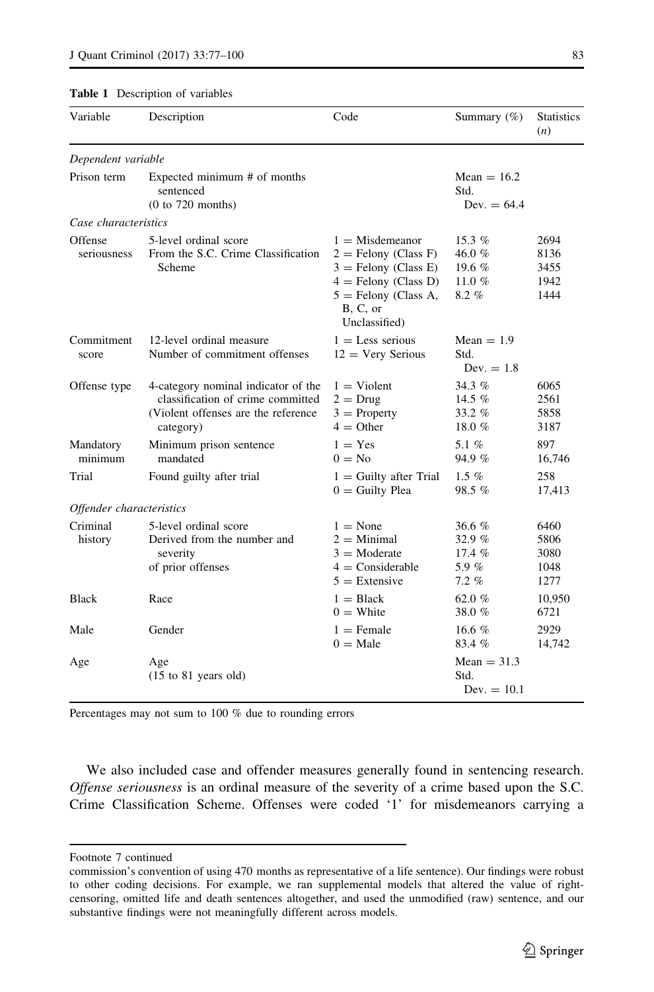#### <span id="page-6-0"></span>Table 1 Description of variables

| Variable                 | Description                                                                                                                  | Code                                                                                                                                                   | Summary $(\%)$                                    | <b>Statistics</b><br>(n)             |  |  |  |  |
|--------------------------|------------------------------------------------------------------------------------------------------------------------------|--------------------------------------------------------------------------------------------------------------------------------------------------------|---------------------------------------------------|--------------------------------------|--|--|--|--|
| Dependent variable       |                                                                                                                              |                                                                                                                                                        |                                                   |                                      |  |  |  |  |
| Prison term              | Expected minimum # of months<br>sentenced<br>(0 to 720 months)                                                               |                                                                                                                                                        | Mean $= 16.2$<br>Std.<br>Dev. $= 64.4$            |                                      |  |  |  |  |
| Case characteristics     |                                                                                                                              |                                                                                                                                                        |                                                   |                                      |  |  |  |  |
| Offense<br>seriousness   | 5-level ordinal score<br>From the S.C. Crime Classification<br>Scheme                                                        | $1 =$ Misdemeanor<br>$2 =$ Felony (Class F)<br>$3 =$ Felony (Class E)<br>$4 =$ Felony (Class D)<br>$5 =$ Felony (Class A,<br>B, C, or<br>Unclassified) | 15.3 $%$<br>46.0%<br>19.6 $%$<br>11.0 $%$<br>8.2% | 2694<br>8136<br>3455<br>1942<br>1444 |  |  |  |  |
| Commitment<br>score      | 12-level ordinal measure<br>Number of commitment offenses                                                                    | $1 =$ Less serious<br>$12 = \text{Very Serious}$                                                                                                       | $Mean = 1.9$<br>Std.<br>Dev. $= 1.8$              |                                      |  |  |  |  |
| Offense type             | 4-category nominal indicator of the<br>classification of crime committed<br>(Violent offenses are the reference<br>category) | $1 =$ Violent<br>$2 = Drug$<br>$3$ = Property<br>$4 =$ Other                                                                                           | 34.3%<br>14.5 %<br>33.2%<br>18.0 $%$              | 6065<br>2561<br>5858<br>3187         |  |  |  |  |
| Mandatory<br>minimum     | Minimum prison sentence<br>mandated                                                                                          | $1 = Yes$<br>$0 = No$                                                                                                                                  | 5.1%<br>94.9 %                                    | 897<br>16,746                        |  |  |  |  |
| Trial                    | Found guilty after trial                                                                                                     | $1 =$ Guilty after Trial<br>$0 =$ Guilty Plea                                                                                                          | $1.5\%$<br>98.5%                                  | 258<br>17,413                        |  |  |  |  |
| Offender characteristics |                                                                                                                              |                                                                                                                                                        |                                                   |                                      |  |  |  |  |
| Criminal<br>history      | 5-level ordinal score<br>Derived from the number and<br>severity<br>of prior offenses                                        | $1 = \text{None}$<br>$2 =$ Minimal<br>$3 = \text{Moderate}$<br>$4$ = Considerable<br>$5 =$ Extensive                                                   | 36.6 %<br>32.9 $%$<br>17.4 %<br>5.9%<br>$7.2\%$   | 6460<br>5806<br>3080<br>1048<br>1277 |  |  |  |  |
| <b>Black</b>             | Race                                                                                                                         | $1 = Black$<br>$0 =$ White                                                                                                                             | 62.0 %<br>38.0%                                   | 10,950<br>6721                       |  |  |  |  |
| Male                     | Gender                                                                                                                       | $1 =$ Female<br>$0 = Male$                                                                                                                             | 16.6 $%$<br>83.4%                                 | 2929<br>14,742                       |  |  |  |  |
| Age                      | Age<br>$(15 \text{ to } 81 \text{ years old})$                                                                               |                                                                                                                                                        | Mean $=$ 31.3<br>Std.<br>Dev. $= 10.1$            |                                      |  |  |  |  |

Percentages may not sum to 100 % due to rounding errors

We also included case and offender measures generally found in sentencing research. Offense seriousness is an ordinal measure of the severity of a crime based upon the S.C. Crime Classification Scheme. Offenses were coded '1' for misdemeanors carrying a

Footnote 7 continued

commission's convention of using 470 months as representative of a life sentence). Our findings were robust to other coding decisions. For example, we ran supplemental models that altered the value of rightcensoring, omitted life and death sentences altogether, and used the unmodified (raw) sentence, and our substantive findings were not meaningfully different across models.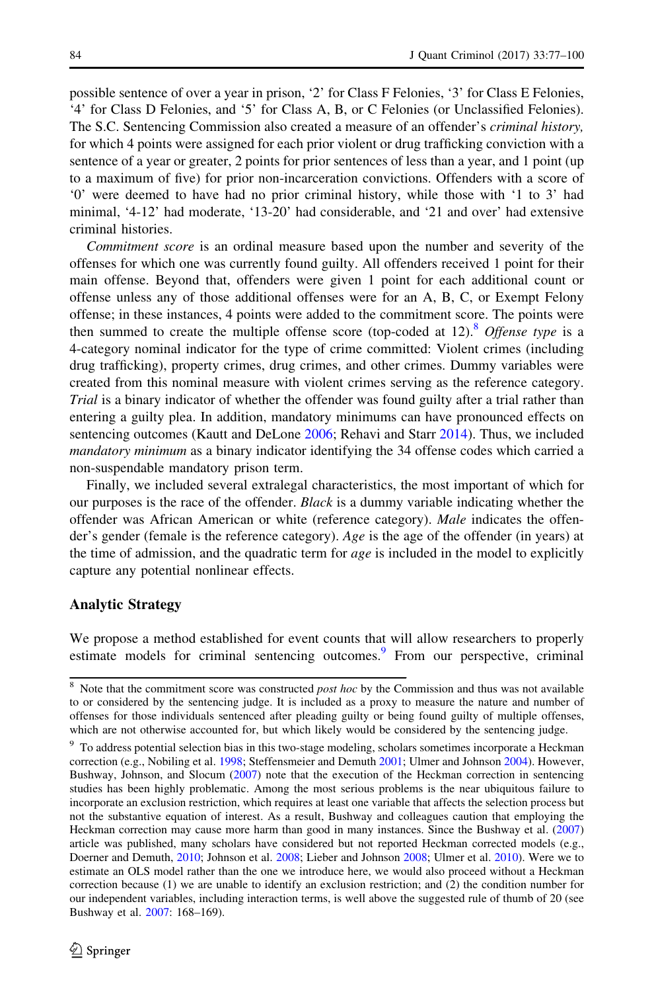possible sentence of over a year in prison, '2' for Class F Felonies, '3' for Class E Felonies, '4' for Class D Felonies, and '5' for Class A, B, or C Felonies (or Unclassified Felonies). The S.C. Sentencing Commission also created a measure of an offender's criminal history, for which 4 points were assigned for each prior violent or drug trafficking conviction with a sentence of a year or greater, 2 points for prior sentences of less than a year, and 1 point (up to a maximum of five) for prior non-incarceration convictions. Offenders with a score of '0' were deemed to have had no prior criminal history, while those with '1 to 3' had minimal, '4-12' had moderate, '13-20' had considerable, and '21 and over' had extensive criminal histories.

Commitment score is an ordinal measure based upon the number and severity of the offenses for which one was currently found guilty. All offenders received 1 point for their main offense. Beyond that, offenders were given 1 point for each additional count or offense unless any of those additional offenses were for an A, B, C, or Exempt Felony offense; in these instances, 4 points were added to the commitment score. The points were then summed to create the multiple offense score (top-coded at 12).<sup>8</sup> Offense type is a 4-category nominal indicator for the type of crime committed: Violent crimes (including drug trafficking), property crimes, drug crimes, and other crimes. Dummy variables were created from this nominal measure with violent crimes serving as the reference category. Trial is a binary indicator of whether the offender was found guilty after a trial rather than entering a guilty plea. In addition, mandatory minimums can have pronounced effects on sentencing outcomes (Kautt and DeLone [2006;](#page-22-0) Rehavi and Starr [2014](#page-23-0)). Thus, we included mandatory minimum as a binary indicator identifying the 34 offense codes which carried a non-suspendable mandatory prison term.

Finally, we included several extralegal characteristics, the most important of which for our purposes is the race of the offender. Black is a dummy variable indicating whether the offender was African American or white (reference category). Male indicates the offender's gender (female is the reference category). Age is the age of the offender (in years) at the time of admission, and the quadratic term for  $age$  is included in the model to explicitly capture any potential nonlinear effects.

## Analytic Strategy

We propose a method established for event counts that will allow researchers to properly estimate models for criminal sentencing outcomes.<sup>9</sup> From our perspective, criminal

<sup>&</sup>lt;sup>8</sup> Note that the commitment score was constructed *post hoc* by the Commission and thus was not available to or considered by the sentencing judge. It is included as a proxy to measure the nature and number of offenses for those individuals sentenced after pleading guilty or being found guilty of multiple offenses, which are not otherwise accounted for, but which likely would be considered by the sentencing judge.

<sup>&</sup>lt;sup>9</sup> To address potential selection bias in this two-stage modeling, scholars sometimes incorporate a Heckman correction (e.g., Nobiling et al. [1998](#page-23-0); Steffensmeier and Demuth [2001;](#page-23-0) Ulmer and Johnson [2004\)](#page-23-0). However, Bushway, Johnson, and Slocum [\(2007\)](#page-22-0) note that the execution of the Heckman correction in sentencing studies has been highly problematic. Among the most serious problems is the near ubiquitous failure to incorporate an exclusion restriction, which requires at least one variable that affects the selection process but not the substantive equation of interest. As a result, Bushway and colleagues caution that employing the Heckman correction may cause more harm than good in many instances. Since the Bushway et al. [\(2007\)](#page-22-0) article was published, many scholars have considered but not reported Heckman corrected models (e.g., Doerner and Demuth, [2010;](#page-22-0) Johnson et al. [2008;](#page-22-0) Lieber and Johnson [2008](#page-22-0); Ulmer et al. [2010](#page-23-0)). Were we to estimate an OLS model rather than the one we introduce here, we would also proceed without a Heckman correction because (1) we are unable to identify an exclusion restriction; and (2) the condition number for our independent variables, including interaction terms, is well above the suggested rule of thumb of 20 (see Bushway et al. [2007:](#page-22-0) 168–169).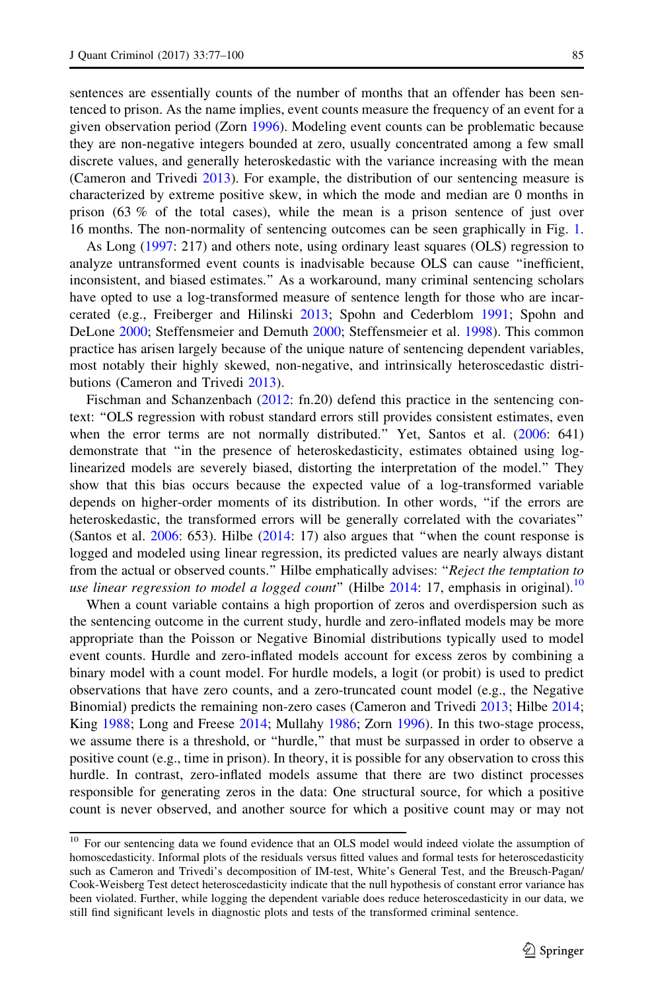sentences are essentially counts of the number of months that an offender has been sentenced to prison. As the name implies, event counts measure the frequency of an event for a given observation period (Zorn [1996\)](#page-23-0). Modeling event counts can be problematic because they are non-negative integers bounded at zero, usually concentrated among a few small discrete values, and generally heteroskedastic with the variance increasing with the mean (Cameron and Trivedi [2013](#page-22-0)). For example, the distribution of our sentencing measure is characterized by extreme positive skew, in which the mode and median are 0 months in prison (63 % of the total cases), while the mean is a prison sentence of just over 16 months. The non-normality of sentencing outcomes can be seen graphically in Fig. [1](#page-9-0).

As Long [\(1997](#page-23-0): 217) and others note, using ordinary least squares (OLS) regression to analyze untransformed event counts is inadvisable because OLS can cause ''inefficient, inconsistent, and biased estimates.'' As a workaround, many criminal sentencing scholars have opted to use a log-transformed measure of sentence length for those who are incarcerated (e.g., Freiberger and Hilinski [2013;](#page-22-0) Spohn and Cederblom [1991](#page-23-0); Spohn and DeLone [2000](#page-23-0); Steffensmeier and Demuth [2000](#page-23-0); Steffensmeier et al. [1998](#page-23-0)). This common practice has arisen largely because of the unique nature of sentencing dependent variables, most notably their highly skewed, non-negative, and intrinsically heteroscedastic distributions (Cameron and Trivedi [2013\)](#page-22-0).

Fischman and Schanzenbach ([2012:](#page-22-0) fn.20) defend this practice in the sentencing context: ''OLS regression with robust standard errors still provides consistent estimates, even when the error terms are not normally distributed." Yet, Santos et al. [\(2006](#page-23-0): 641) demonstrate that ''in the presence of heteroskedasticity, estimates obtained using loglinearized models are severely biased, distorting the interpretation of the model.'' They show that this bias occurs because the expected value of a log-transformed variable depends on higher-order moments of its distribution. In other words, ''if the errors are heteroskedastic, the transformed errors will be generally correlated with the covariates'' (Santos et al. [2006](#page-23-0): 653). Hilbe ([2014:](#page-22-0) 17) also argues that ''when the count response is logged and modeled using linear regression, its predicted values are nearly always distant from the actual or observed counts." Hilbe emphatically advises: "Reject the temptation to use linear regression to model a logged count" (Hilbe  $2014$ : 17, emphasis in original).<sup>10</sup>

When a count variable contains a high proportion of zeros and overdispersion such as the sentencing outcome in the current study, hurdle and zero-inflated models may be more appropriate than the Poisson or Negative Binomial distributions typically used to model event counts. Hurdle and zero-inflated models account for excess zeros by combining a binary model with a count model. For hurdle models, a logit (or probit) is used to predict observations that have zero counts, and a zero-truncated count model (e.g., the Negative Binomial) predicts the remaining non-zero cases (Cameron and Trivedi [2013;](#page-22-0) Hilbe [2014;](#page-22-0) King [1988;](#page-22-0) Long and Freese [2014;](#page-23-0) Mullahy [1986;](#page-23-0) Zorn [1996\)](#page-23-0). In this two-stage process, we assume there is a threshold, or ''hurdle,'' that must be surpassed in order to observe a positive count (e.g., time in prison). In theory, it is possible for any observation to cross this hurdle. In contrast, zero-inflated models assume that there are two distinct processes responsible for generating zeros in the data: One structural source, for which a positive count is never observed, and another source for which a positive count may or may not

<sup>&</sup>lt;sup>10</sup> For our sentencing data we found evidence that an OLS model would indeed violate the assumption of homoscedasticity. Informal plots of the residuals versus fitted values and formal tests for heteroscedasticity such as Cameron and Trivedi's decomposition of IM-test, White's General Test, and the Breusch-Pagan/ Cook-Weisberg Test detect heteroscedasticity indicate that the null hypothesis of constant error variance has been violated. Further, while logging the dependent variable does reduce heteroscedasticity in our data, we still find significant levels in diagnostic plots and tests of the transformed criminal sentence.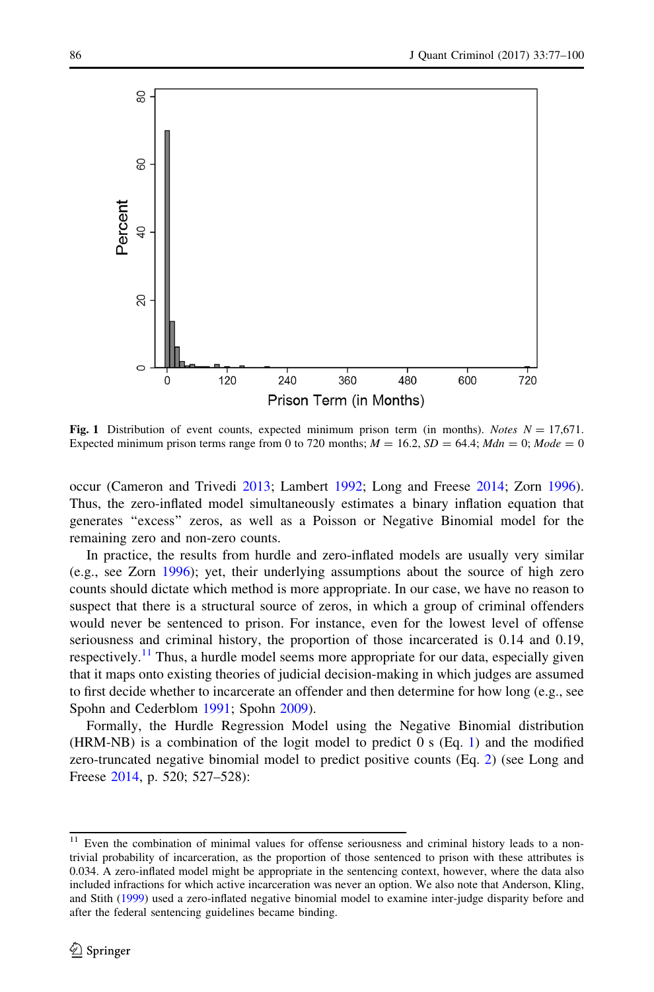<span id="page-9-0"></span>

Fig. 1 Distribution of event counts, expected minimum prison term (in months). Notes  $N = 17,671$ . Expected minimum prison terms range from 0 to 720 months;  $M = 16.2$ ,  $SD = 64.4$ ;  $Mdn = 0$ ;  $Mode = 0$ 

occur (Cameron and Trivedi [2013](#page-22-0); Lambert [1992;](#page-22-0) Long and Freese [2014](#page-23-0); Zorn [1996](#page-23-0)). Thus, the zero-inflated model simultaneously estimates a binary inflation equation that generates ''excess'' zeros, as well as a Poisson or Negative Binomial model for the remaining zero and non-zero counts.

In practice, the results from hurdle and zero-inflated models are usually very similar (e.g., see Zorn [1996\)](#page-23-0); yet, their underlying assumptions about the source of high zero counts should dictate which method is more appropriate. In our case, we have no reason to suspect that there is a structural source of zeros, in which a group of criminal offenders would never be sentenced to prison. For instance, even for the lowest level of offense seriousness and criminal history, the proportion of those incarcerated is 0.14 and 0.19, respectively.<sup>11</sup> Thus, a hurdle model seems more appropriate for our data, especially given that it maps onto existing theories of judicial decision-making in which judges are assumed to first decide whether to incarcerate an offender and then determine for how long (e.g., see Spohn and Cederblom [1991](#page-23-0); Spohn [2009](#page-23-0)).

Formally, the Hurdle Regression Model using the Negative Binomial distribution (HRM-NB) is a combination of the logit model to predict 0 s (Eq. 1) and the modified zero-truncated negative binomial model to predict positive counts (Eq. [2\)](#page-10-0) (see Long and Freese [2014,](#page-23-0) p. 520; 527–528):

Even the combination of minimal values for offense seriousness and criminal history leads to a nontrivial probability of incarceration, as the proportion of those sentenced to prison with these attributes is 0.034. A zero-inflated model might be appropriate in the sentencing context, however, where the data also included infractions for which active incarceration was never an option. We also note that Anderson, Kling, and Stith [\(1999](#page-21-0)) used a zero-inflated negative binomial model to examine inter-judge disparity before and after the federal sentencing guidelines became binding.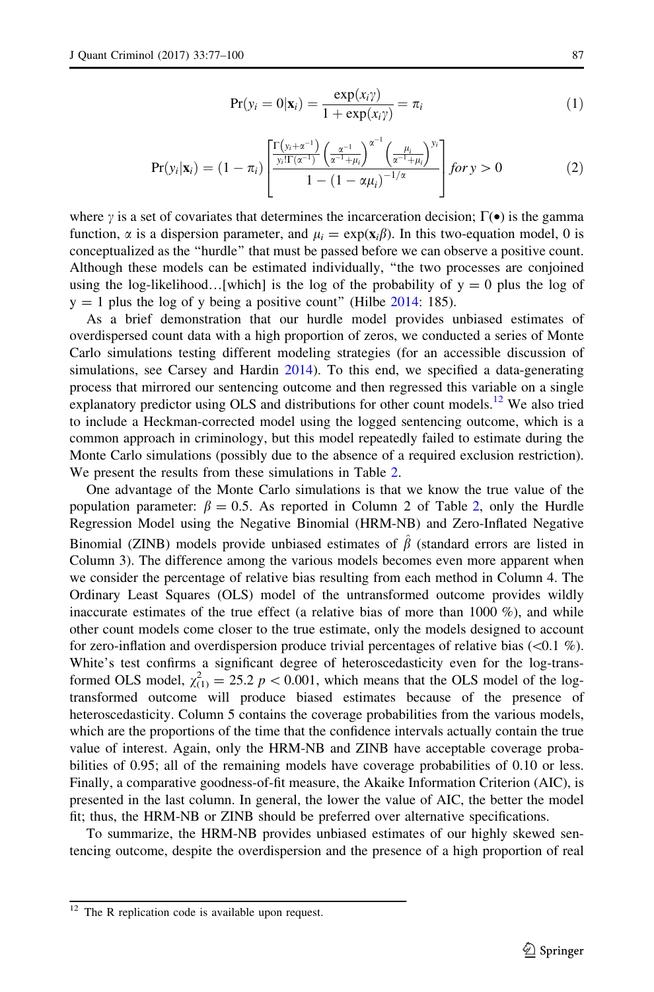$$
Pr(y_i = 0 | \mathbf{x}_i) = \frac{\exp(x_i \gamma)}{1 + \exp(x_i \gamma)} = \pi_i
$$
\n(1)

<span id="page-10-0"></span>
$$
Pr(y_i|\mathbf{x}_i) = (1 - \pi_i) \left[ \frac{\frac{\Gamma(y_i + \alpha^{-1})}{y_i! \Gamma(\alpha^{-1})} \left(\frac{\alpha^{-1}}{\alpha^{-1} + \mu_i}\right)^{\alpha^{-1}} \left(\frac{\mu_i}{\alpha^{-1} + \mu_i}\right)^{y_i}}{1 - (1 - \alpha \mu_i)^{-1/\alpha}} \right] \text{ for } y > 0 \tag{2}
$$

where  $\gamma$  is a set of covariates that determines the incarceration decision;  $\Gamma(\bullet)$  is the gamma function,  $\alpha$  is a dispersion parameter, and  $\mu_i = \exp(\mathbf{x}_i/\beta)$ . In this two-equation model, 0 is conceptualized as the ''hurdle'' that must be passed before we can observe a positive count. Although these models can be estimated individually, ''the two processes are conjoined using the log-likelihood...[which] is the log of the probability of  $y = 0$  plus the log of  $y = 1$  plus the log of y being a positive count" (Hilbe [2014:](#page-22-0) 185).

As a brief demonstration that our hurdle model provides unbiased estimates of overdispersed count data with a high proportion of zeros, we conducted a series of Monte Carlo simulations testing different modeling strategies (for an accessible discussion of simulations, see Carsey and Hardin [2014](#page-22-0)). To this end, we specified a data-generating process that mirrored our sentencing outcome and then regressed this variable on a single explanatory predictor using OLS and distributions for other count models.<sup>12</sup> We also tried to include a Heckman-corrected model using the logged sentencing outcome, which is a common approach in criminology, but this model repeatedly failed to estimate during the Monte Carlo simulations (possibly due to the absence of a required exclusion restriction). We present the results from these simulations in Table [2.](#page-11-0)

One advantage of the Monte Carlo simulations is that we know the true value of the population parameter:  $\beta = 0.5$ . As reported in Column [2](#page-11-0) of Table 2, only the Hurdle Regression Model using the Negative Binomial (HRM-NB) and Zero-Inflated Negative Binomial (ZINB) models provide unbiased estimates of  $\beta$  (standard errors are listed in Column 3). The difference among the various models becomes even more apparent when we consider the percentage of relative bias resulting from each method in Column 4. The Ordinary Least Squares (OLS) model of the untransformed outcome provides wildly inaccurate estimates of the true effect (a relative bias of more than  $1000 \%$ ), and while other count models come closer to the true estimate, only the models designed to account for zero-inflation and overdispersion produce trivial percentages of relative bias  $(\leq 0.1 \%)$ . White's test confirms a significant degree of heteroscedasticity even for the log-transformed OLS model,  $\chi^2_{(1)} = 25.2 \ p \lt 0.001$ , which means that the OLS model of the logtransformed outcome will produce biased estimates because of the presence of heteroscedasticity. Column 5 contains the coverage probabilities from the various models, which are the proportions of the time that the confidence intervals actually contain the true value of interest. Again, only the HRM-NB and ZINB have acceptable coverage probabilities of 0.95; all of the remaining models have coverage probabilities of 0.10 or less. Finally, a comparative goodness-of-fit measure, the Akaike Information Criterion (AIC), is presented in the last column. In general, the lower the value of AIC, the better the model fit; thus, the HRM-NB or ZINB should be preferred over alternative specifications.

To summarize, the HRM-NB provides unbiased estimates of our highly skewed sentencing outcome, despite the overdispersion and the presence of a high proportion of real

 $\overline{12}$  The R replication code is available upon request.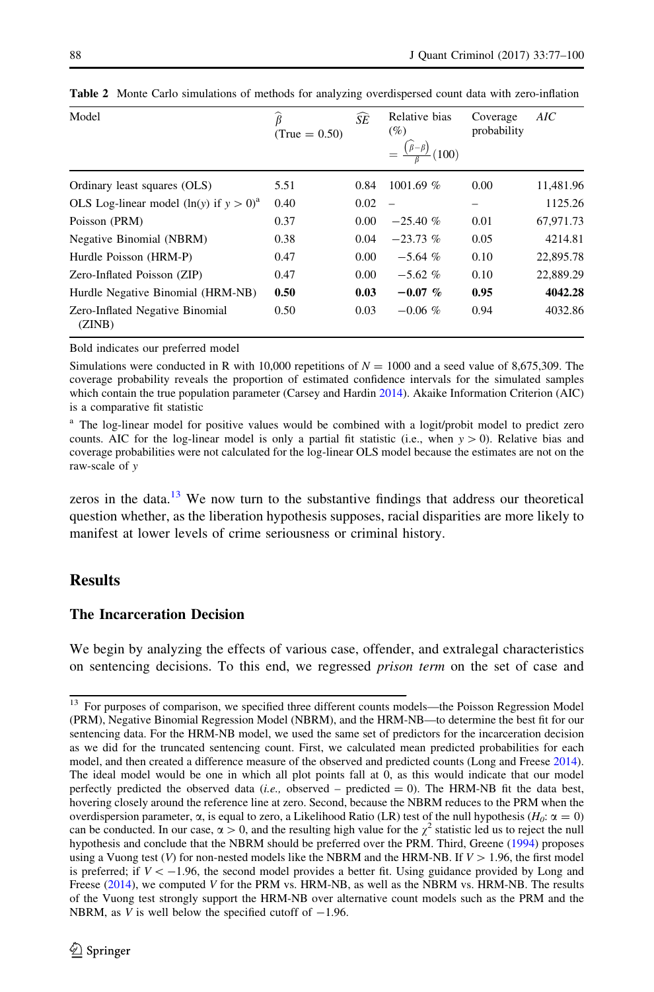| Model                                                 | $\beta$<br>$(True = 0.50)$ | $\widehat{SE}$ | Relative bias<br>$(\%)$<br>$=\frac{(\widehat{\beta}-\beta)}{2}$<br>(100) | Coverage<br>probability | AIC       |
|-------------------------------------------------------|----------------------------|----------------|--------------------------------------------------------------------------|-------------------------|-----------|
| Ordinary least squares (OLS)                          | 5.51                       | 0.84           | 1001.69%                                                                 | 0.00                    | 11,481.96 |
| OLS Log-linear model (ln(y) if $y > 0$ ) <sup>a</sup> | 0.40                       | 0.02           |                                                                          |                         | 1125.26   |
| Poisson (PRM)                                         | 0.37                       | 0.00           | $-25.40%$                                                                | 0.01                    | 67,971.73 |
| Negative Binomial (NBRM)                              | 0.38                       | 0.04           | $-23.73\%$                                                               | 0.05                    | 4214.81   |
| Hurdle Poisson (HRM-P)                                | 0.47                       | 0.00           | $-5.64%$                                                                 | 0.10                    | 22,895.78 |
| Zero-Inflated Poisson (ZIP)                           | 0.47                       | 0.00           | $-5.62\%$                                                                | 0.10                    | 22,889.29 |
| Hurdle Negative Binomial (HRM-NB)                     | 0.50                       | 0.03           | $-0.07\%$                                                                | 0.95                    | 4042.28   |
| Zero-Inflated Negative Binomial<br>(ZINB)             | 0.50                       | 0.03           | $-0.06\%$                                                                | 0.94                    | 4032.86   |

<span id="page-11-0"></span>Table 2 Monte Carlo simulations of methods for analyzing overdispersed count data with zero-inflation

Bold indicates our preferred model

Simulations were conducted in R with 10,000 repetitions of  $N = 1000$  and a seed value of 8,675,309. The coverage probability reveals the proportion of estimated confidence intervals for the simulated samples which contain the true population parameter (Carsey and Hardin [2014\)](#page-22-0). Akaike Information Criterion (AIC) is a comparative fit statistic

<sup>a</sup> The log-linear model for positive values would be combined with a logit/probit model to predict zero counts. AIC for the log-linear model is only a partial fit statistic (i.e., when  $y > 0$ ). Relative bias and coverage probabilities were not calculated for the log-linear OLS model because the estimates are not on the raw-scale of y

zeros in the data. $13$  We now turn to the substantive findings that address our theoretical question whether, as the liberation hypothesis supposes, racial disparities are more likely to manifest at lower levels of crime seriousness or criminal history.

# Results

# The Incarceration Decision

We begin by analyzing the effects of various case, offender, and extralegal characteristics on sentencing decisions. To this end, we regressed *prison term* on the set of case and

<sup>&</sup>lt;sup>13</sup> For purposes of comparison, we specified three different counts models—the Poisson Regression Model (PRM), Negative Binomial Regression Model (NBRM), and the HRM-NB—to determine the best fit for our sentencing data. For the HRM-NB model, we used the same set of predictors for the incarceration decision as we did for the truncated sentencing count. First, we calculated mean predicted probabilities for each model, and then created a difference measure of the observed and predicted counts (Long and Freese [2014\)](#page-23-0). The ideal model would be one in which all plot points fall at 0, as this would indicate that our model perfectly predicted the observed data (*i.e.*, observed – predicted  $= 0$ ). The HRM-NB fit the data best, hovering closely around the reference line at zero. Second, because the NBRM reduces to the PRM when the overdispersion parameter,  $\alpha$ , is equal to zero, a Likelihood Ratio (LR) test of the null hypothesis ( $H_0$ :  $\alpha = 0$ ) can be conducted. In our case,  $\alpha > 0$ , and the resulting high value for the  $\gamma^2$  statistic led us to reject the null hypothesis and conclude that the NBRM should be preferred over the PRM. Third, Greene ([1994](#page-22-0)) proposes using a Vuong test (V) for non-nested models like the NBRM and the HRM-NB. If  $V > 1.96$ , the first model is preferred; if  $V\lt-1.96$ , the second model provides a better fit. Using guidance provided by Long and Freese ([2014](#page-23-0)), we computed V for the PRM vs. HRM-NB, as well as the NBRM vs. HRM-NB. The results of the Vuong test strongly support the HRM-NB over alternative count models such as the PRM and the NBRM, as V is well below the specified cutoff of  $-1.96$ .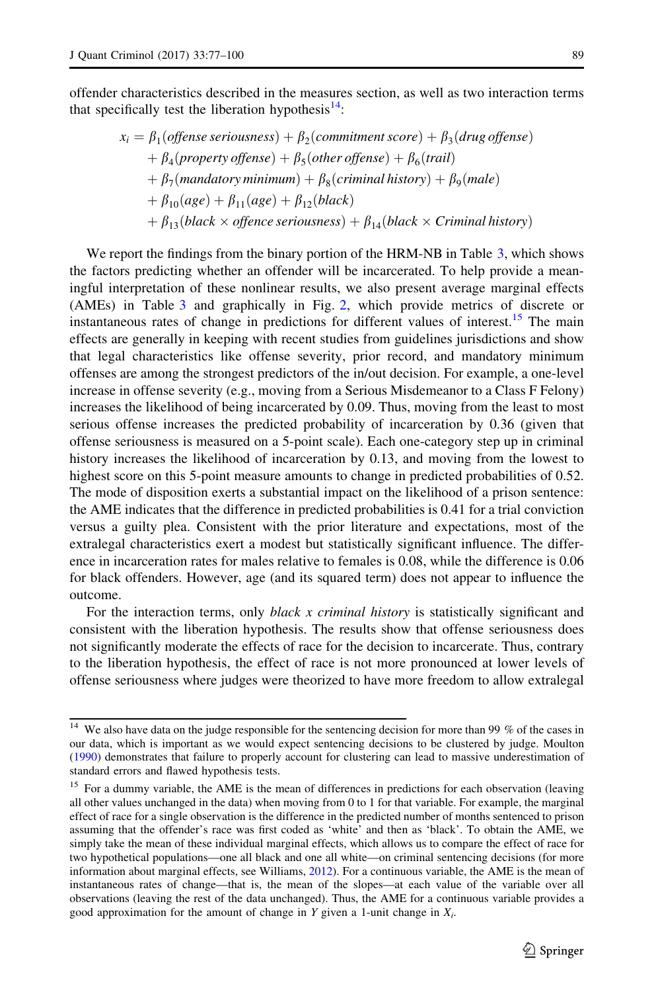offender characteristics described in the measures section, as well as two interaction terms that specifically test the liberation hypothesis $^{14}$ :

$$
x_i = \beta_1(\text{offense seriousness}) + \beta_2(\text{commitment score}) + \beta_3(\text{drug offense})
$$
  
+  $\beta_4(\text{property offense}) + \beta_5(\text{other offense}) + \beta_6(\text{trail})$   
+  $\beta_7(\text{mandatory minimum}) + \beta_8(\text{criminal history}) + \beta_9(\text{male})$   
+  $\beta_{10}(age) + \beta_{11}(age) + \beta_{12}(\text{black})$   
+  $\beta_{13}(\text{black} \times \text{offence seriousness}) + \beta_{14}(\text{black} \times \text{Criminal history})$ 

We report the findings from the binary portion of the HRM-NB in Table [3](#page-13-0), which shows the factors predicting whether an offender will be incarcerated. To help provide a meaningful interpretation of these nonlinear results, we also present average marginal effects (AMEs) in Table [3](#page-13-0) and graphically in Fig. [2](#page-14-0), which provide metrics of discrete or instantaneous rates of change in predictions for different values of interest.<sup>15</sup> The main effects are generally in keeping with recent studies from guidelines jurisdictions and show that legal characteristics like offense severity, prior record, and mandatory minimum offenses are among the strongest predictors of the in/out decision. For example, a one-level increase in offense severity (e.g., moving from a Serious Misdemeanor to a Class F Felony) increases the likelihood of being incarcerated by 0.09. Thus, moving from the least to most serious offense increases the predicted probability of incarceration by 0.36 (given that offense seriousness is measured on a 5-point scale). Each one-category step up in criminal history increases the likelihood of incarceration by 0.13, and moving from the lowest to highest score on this 5-point measure amounts to change in predicted probabilities of 0.52. The mode of disposition exerts a substantial impact on the likelihood of a prison sentence: the AME indicates that the difference in predicted probabilities is 0.41 for a trial conviction versus a guilty plea. Consistent with the prior literature and expectations, most of the extralegal characteristics exert a modest but statistically significant influence. The difference in incarceration rates for males relative to females is 0.08, while the difference is 0.06 for black offenders. However, age (and its squared term) does not appear to influence the outcome.

For the interaction terms, only *black x criminal history* is statistically significant and consistent with the liberation hypothesis. The results show that offense seriousness does not significantly moderate the effects of race for the decision to incarcerate. Thus, contrary to the liberation hypothesis, the effect of race is not more pronounced at lower levels of offense seriousness where judges were theorized to have more freedom to allow extralegal

<sup>&</sup>lt;sup>14</sup> We also have data on the judge responsible for the sentencing decision for more than 99 % of the cases in our data, which is important as we would expect sentencing decisions to be clustered by judge. Moulton [\(1990](#page-23-0)) demonstrates that failure to properly account for clustering can lead to massive underestimation of standard errors and flawed hypothesis tests.

<sup>&</sup>lt;sup>15</sup> For a dummy variable, the AME is the mean of differences in predictions for each observation (leaving all other values unchanged in the data) when moving from 0 to 1 for that variable. For example, the marginal effect of race for a single observation is the difference in the predicted number of months sentenced to prison assuming that the offender's race was first coded as 'white' and then as 'black'. To obtain the AME, we simply take the mean of these individual marginal effects, which allows us to compare the effect of race for two hypothetical populations—one all black and one all white—on criminal sentencing decisions (for more information about marginal effects, see Williams, [2012\)](#page-23-0). For a continuous variable, the AME is the mean of instantaneous rates of change—that is, the mean of the slopes—at each value of the variable over all observations (leaving the rest of the data unchanged). Thus, the AME for a continuous variable provides a good approximation for the amount of change in Y given a 1-unit change in  $X_i$ .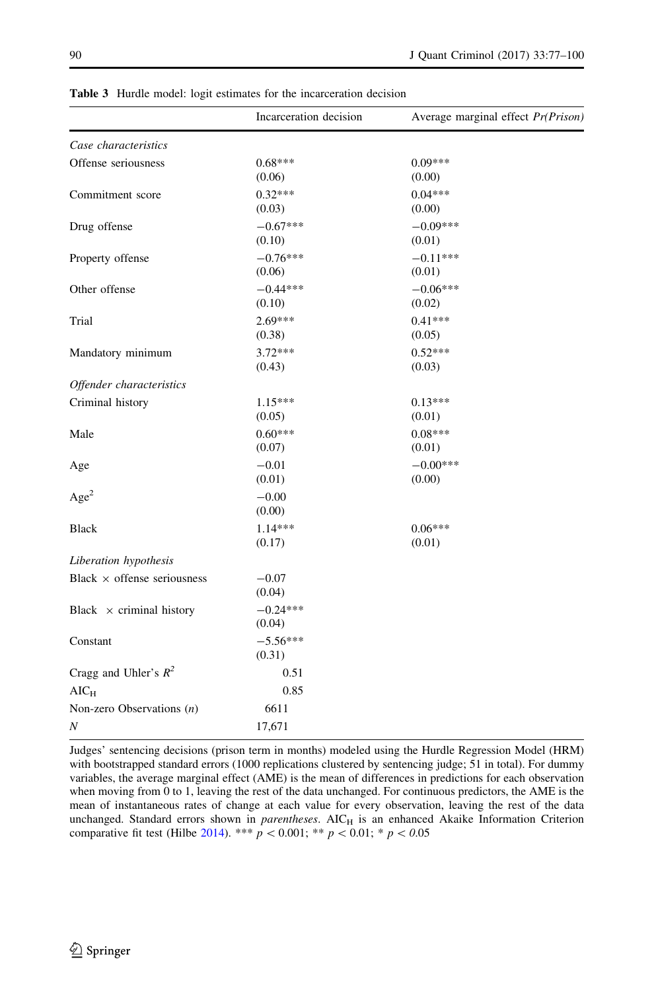Incarceration decision Average marginal effect Pr(Prison)

N 17,671

Judges' sentencing decisions (prison term in months) modeled using the Hurdle Regression Model (HRM) with bootstrapped standard errors (1000 replications clustered by sentencing judge; 51 in total). For dummy variables, the average marginal effect (AME) is the mean of differences in predictions for each observation when moving from 0 to 1, leaving the rest of the data unchanged. For continuous predictors, the AME is the mean of instantaneous rates of change at each value for every observation, leaving the rest of the data unchanged. Standard errors shown in parentheses. AIC<sub>H</sub> is an enhanced Akaike Information Criterion comparative fit test (Hilbe [2014\)](#page-22-0). \*\*\*  $p < 0.001$ ; \*\*  $p < 0.01$ ; \*  $p < 0.05$ 

Case characteristics Offense seriousness 0.68\*\*\* (0.06) 0.09\*\*\* (0.00) Commitment score 0.32\*\*\* (0.03) 0.04\*\*\* (0.00) Drug offense  $-0.67***$ (0.10)  $-0.09***$ (0.01) Property offense  $-0.76***$ (0.06)  $-0.11***$ (0.01) Other offense  $-0.44***$ (0.10)  $-0.06***$  $(0.02)$ Trial 2.69\*\*\* (0.38) 0.41\*\*\* (0.05) Mandatory minimum 3.72\*\*\* (0.43) 0.52\*\*\* (0.03) Offender characteristics Criminal history 1.15\*\*\* (0.05) 0.13\*\*\* (0.01) Male  $0.60***$ (0.07) 0.08\*\*\* (0.01) Age  $-0.01$ (0.01)  $-0.00***$ (0.00)  $\text{Age}^2$  -0.00 (0.00) Black 1.14\*\*\* (0.17) 0.06\*\*\* (0.01) Liberation hypothesis Black  $\times$  offense seriousness  $-0.07$  $(0.04)$ Black  $\times$  criminal history  $-0.24***$ (0.04)  $Constant$   $-5.56***$ (0.31) Cragg and Uhler's  $R^2$  0.51  $AIC_H$  0.85 Non-zero Observations  $(n)$  6611

<span id="page-13-0"></span>Table 3 Hurdle model: logit estimates for the incarceration decision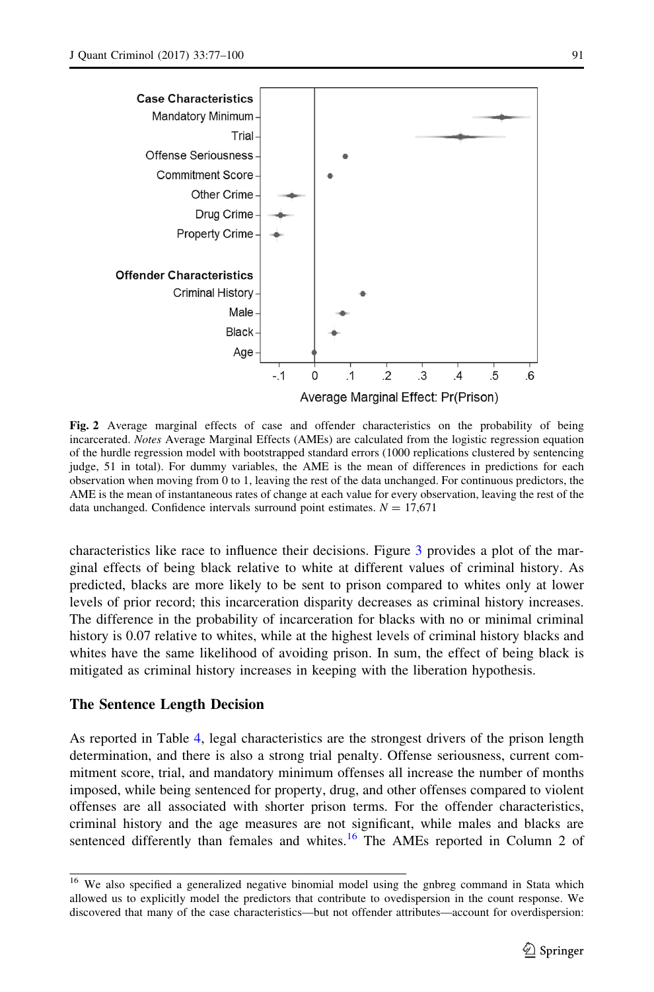<span id="page-14-0"></span>

Fig. 2 Average marginal effects of case and offender characteristics on the probability of being incarcerated. Notes Average Marginal Effects (AMEs) are calculated from the logistic regression equation of the hurdle regression model with bootstrapped standard errors (1000 replications clustered by sentencing judge, 51 in total). For dummy variables, the AME is the mean of differences in predictions for each observation when moving from 0 to 1, leaving the rest of the data unchanged. For continuous predictors, the AME is the mean of instantaneous rates of change at each value for every observation, leaving the rest of the data unchanged. Confidence intervals surround point estimates.  $N = 17,671$ 

characteristics like race to influence their decisions. Figure [3](#page-15-0) provides a plot of the marginal effects of being black relative to white at different values of criminal history. As predicted, blacks are more likely to be sent to prison compared to whites only at lower levels of prior record; this incarceration disparity decreases as criminal history increases. The difference in the probability of incarceration for blacks with no or minimal criminal history is 0.07 relative to whites, while at the highest levels of criminal history blacks and whites have the same likelihood of avoiding prison. In sum, the effect of being black is mitigated as criminal history increases in keeping with the liberation hypothesis.

## The Sentence Length Decision

As reported in Table [4](#page-16-0), legal characteristics are the strongest drivers of the prison length determination, and there is also a strong trial penalty. Offense seriousness, current commitment score, trial, and mandatory minimum offenses all increase the number of months imposed, while being sentenced for property, drug, and other offenses compared to violent offenses are all associated with shorter prison terms. For the offender characteristics, criminal history and the age measures are not significant, while males and blacks are sentenced differently than females and whites.<sup>16</sup> The AMEs reported in Column 2 of

<sup>&</sup>lt;sup>16</sup> We also specified a generalized negative binomial model using the gnbreg command in Stata which allowed us to explicitly model the predictors that contribute to ovedispersion in the count response. We discovered that many of the case characteristics—but not offender attributes—account for overdispersion: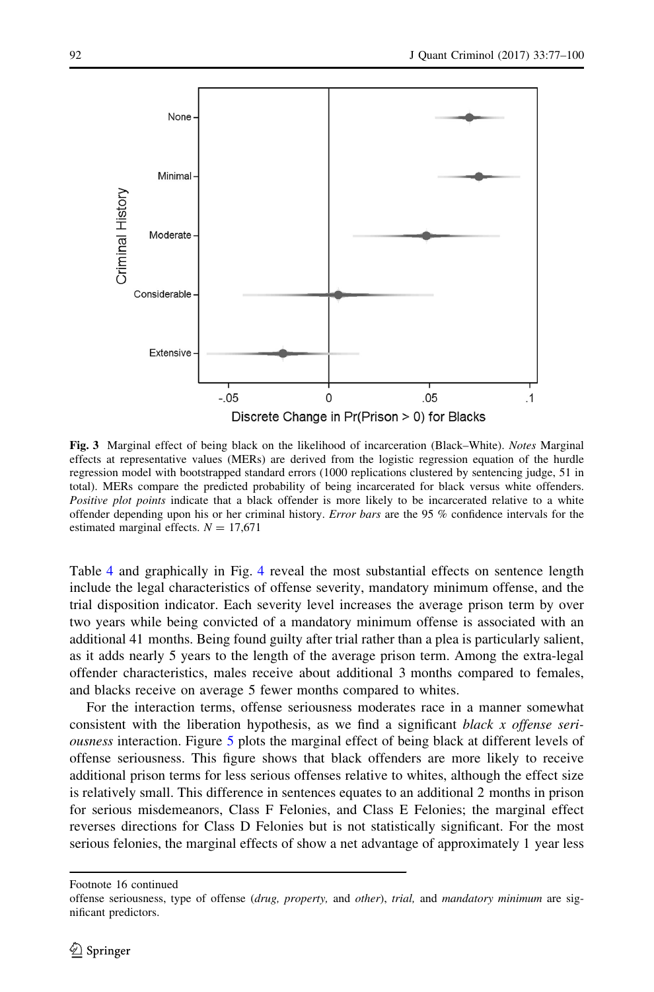<span id="page-15-0"></span>

Fig. 3 Marginal effect of being black on the likelihood of incarceration (Black–White). Notes Marginal effects at representative values (MERs) are derived from the logistic regression equation of the hurdle regression model with bootstrapped standard errors (1000 replications clustered by sentencing judge, 51 in total). MERs compare the predicted probability of being incarcerated for black versus white offenders. Positive plot points indicate that a black offender is more likely to be incarcerated relative to a white offender depending upon his or her criminal history. Error bars are the 95 % confidence intervals for the estimated marginal effects.  $N = 17,671$ 

Table [4](#page-16-0) and graphically in Fig. [4](#page-17-0) reveal the most substantial effects on sentence length include the legal characteristics of offense severity, mandatory minimum offense, and the trial disposition indicator. Each severity level increases the average prison term by over two years while being convicted of a mandatory minimum offense is associated with an additional 41 months. Being found guilty after trial rather than a plea is particularly salient, as it adds nearly 5 years to the length of the average prison term. Among the extra-legal offender characteristics, males receive about additional 3 months compared to females, and blacks receive on average 5 fewer months compared to whites.

For the interaction terms, offense seriousness moderates race in a manner somewhat consistent with the liberation hypothesis, as we find a significant black x offense seriousness interaction. Figure [5](#page-18-0) plots the marginal effect of being black at different levels of offense seriousness. This figure shows that black offenders are more likely to receive additional prison terms for less serious offenses relative to whites, although the effect size is relatively small. This difference in sentences equates to an additional 2 months in prison for serious misdemeanors, Class F Felonies, and Class E Felonies; the marginal effect reverses directions for Class D Felonies but is not statistically significant. For the most serious felonies, the marginal effects of show a net advantage of approximately 1 year less

Footnote 16 continued

offense seriousness, type of offense (drug, property, and other), trial, and mandatory minimum are significant predictors.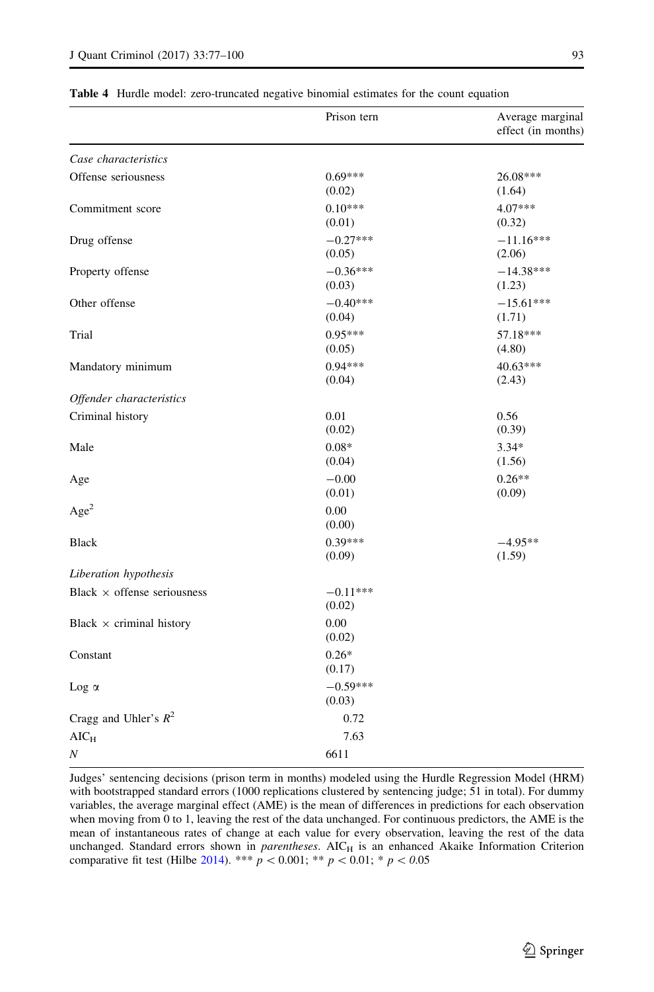|                                    | Prison tern          | Average marginal<br>effect (in months) |
|------------------------------------|----------------------|----------------------------------------|
| Case characteristics               |                      |                                        |
| Offense seriousness                | $0.69***$<br>(0.02)  | 26.08***<br>(1.64)                     |
| Commitment score                   | $0.10***$<br>(0.01)  | $4.07***$<br>(0.32)                    |
| Drug offense                       | $-0.27***$<br>(0.05) | $-11.16***$<br>(2.06)                  |
| Property offense                   | $-0.36***$<br>(0.03) | $-14.38***$<br>(1.23)                  |
| Other offense                      | $-0.40***$<br>(0.04) | $-15.61***$<br>(1.71)                  |
| Trial                              | $0.95***$<br>(0.05)  | 57.18***<br>(4.80)                     |
| Mandatory minimum                  | $0.94***$<br>(0.04)  | 40.63***<br>(2.43)                     |
| Offender characteristics           |                      |                                        |
| Criminal history                   | 0.01<br>(0.02)       | 0.56<br>(0.39)                         |
| Male                               | $0.08*$<br>(0.04)    | $3.34*$<br>(1.56)                      |
| Age                                | $-0.00$<br>(0.01)    | $0.26**$<br>(0.09)                     |
| Age <sup>2</sup>                   | 0.00<br>(0.00)       |                                        |
| <b>Black</b>                       | $0.39***$<br>(0.09)  | $-4.95**$<br>(1.59)                    |
| Liberation hypothesis              |                      |                                        |
| Black $\times$ offense seriousness | $-0.11***$<br>(0.02) |                                        |
| Black $\times$ criminal history    | 0.00<br>(0.02)       |                                        |
| Constant                           | $0.26*$<br>(0.17)    |                                        |
| $Log \alpha$                       | $-0.59***$<br>(0.03) |                                        |
| Cragg and Uhler's $R^2$            | 0.72                 |                                        |
| $AIC_H$                            | 7.63                 |                                        |
| N                                  | 6611                 |                                        |

<span id="page-16-0"></span>

|  | <b>Table 4</b> Hurdle model: zero-truncated negative binomial estimates for the count equation |  |  |  |  |  |  |  |
|--|------------------------------------------------------------------------------------------------|--|--|--|--|--|--|--|
|--|------------------------------------------------------------------------------------------------|--|--|--|--|--|--|--|

Judges' sentencing decisions (prison term in months) modeled using the Hurdle Regression Model (HRM) with bootstrapped standard errors (1000 replications clustered by sentencing judge; 51 in total). For dummy variables, the average marginal effect (AME) is the mean of differences in predictions for each observation when moving from 0 to 1, leaving the rest of the data unchanged. For continuous predictors, the AME is the mean of instantaneous rates of change at each value for every observation, leaving the rest of the data unchanged. Standard errors shown in parentheses.  $AIC_H$  is an enhanced Akaike Information Criterion comparative fit test (Hilbe [2014\)](#page-22-0). \*\*\*  $p < 0.001$ ; \*\*  $p < 0.01$ ; \*  $p < 0.05$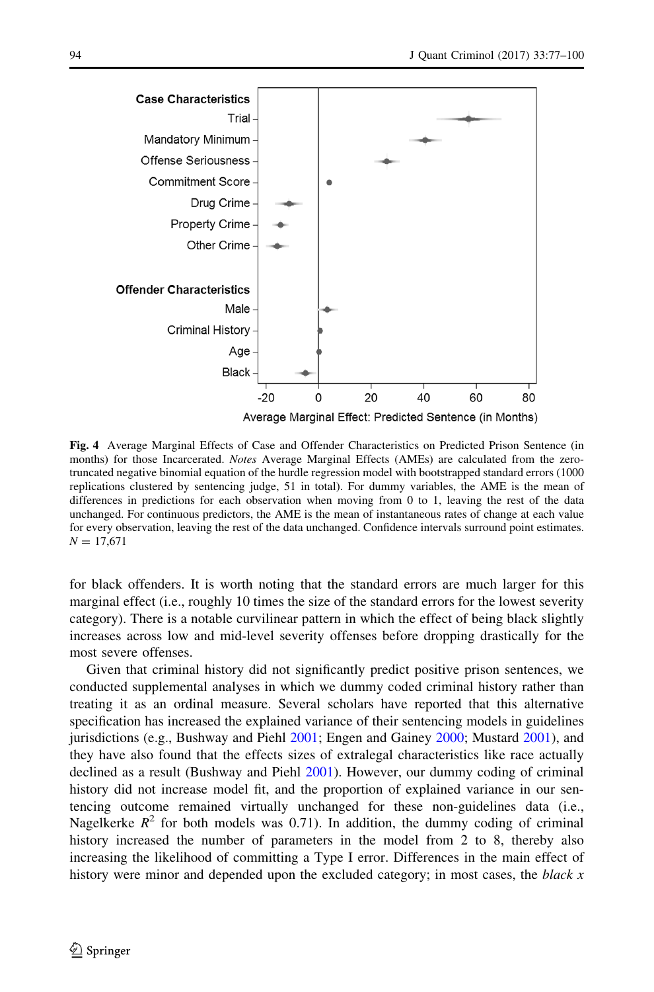<span id="page-17-0"></span>

Fig. 4 Average Marginal Effects of Case and Offender Characteristics on Predicted Prison Sentence (in months) for those Incarcerated. Notes Average Marginal Effects (AMEs) are calculated from the zerotruncated negative binomial equation of the hurdle regression model with bootstrapped standard errors (1000 replications clustered by sentencing judge, 51 in total). For dummy variables, the AME is the mean of differences in predictions for each observation when moving from 0 to 1, leaving the rest of the data unchanged. For continuous predictors, the AME is the mean of instantaneous rates of change at each value for every observation, leaving the rest of the data unchanged. Confidence intervals surround point estimates.  $N = 17,671$ 

for black offenders. It is worth noting that the standard errors are much larger for this marginal effect (i.e., roughly 10 times the size of the standard errors for the lowest severity category). There is a notable curvilinear pattern in which the effect of being black slightly increases across low and mid-level severity offenses before dropping drastically for the most severe offenses.

Given that criminal history did not significantly predict positive prison sentences, we conducted supplemental analyses in which we dummy coded criminal history rather than treating it as an ordinal measure. Several scholars have reported that this alternative specification has increased the explained variance of their sentencing models in guidelines jurisdictions (e.g., Bushway and Piehl [2001](#page-22-0); Engen and Gainey [2000;](#page-22-0) Mustard [2001\)](#page-23-0), and they have also found that the effects sizes of extralegal characteristics like race actually declined as a result (Bushway and Piehl [2001](#page-22-0)). However, our dummy coding of criminal history did not increase model fit, and the proportion of explained variance in our sentencing outcome remained virtually unchanged for these non-guidelines data (i.e., Nagelkerke  $R^2$  for both models was 0.71). In addition, the dummy coding of criminal history increased the number of parameters in the model from 2 to 8, thereby also increasing the likelihood of committing a Type I error. Differences in the main effect of history were minor and depended upon the excluded category; in most cases, the *black*  $x$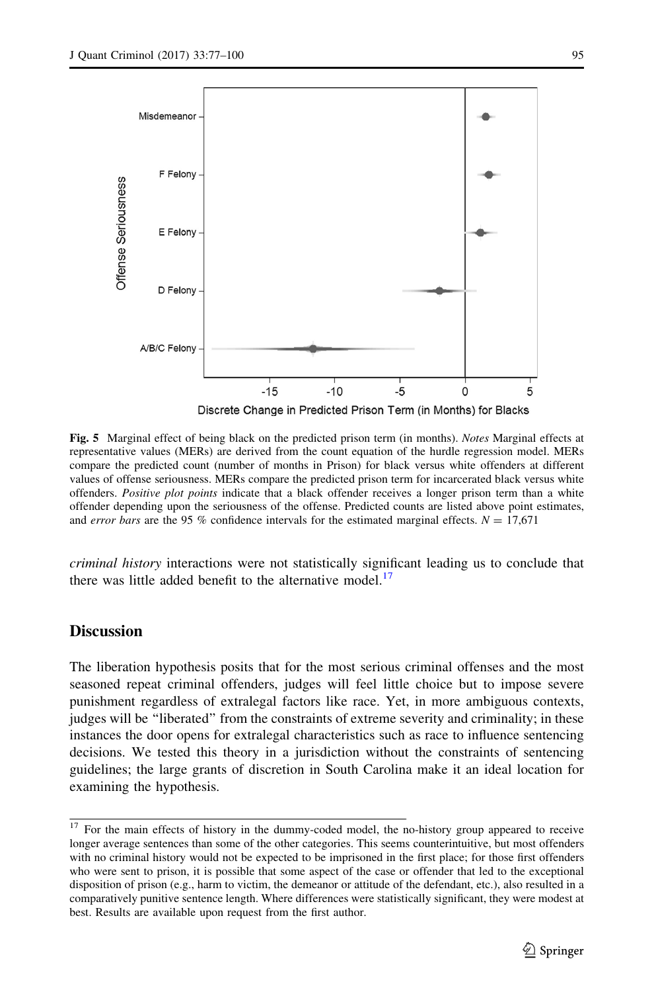<span id="page-18-0"></span>

Fig. 5 Marginal effect of being black on the predicted prison term (in months). Notes Marginal effects at representative values (MERs) are derived from the count equation of the hurdle regression model. MERs compare the predicted count (number of months in Prison) for black versus white offenders at different values of offense seriousness. MERs compare the predicted prison term for incarcerated black versus white offenders. Positive plot points indicate that a black offender receives a longer prison term than a white offender depending upon the seriousness of the offense. Predicted counts are listed above point estimates, and error bars are the 95 % confidence intervals for the estimated marginal effects.  $N = 17,671$ 

criminal history interactions were not statistically significant leading us to conclude that there was little added benefit to the alternative model.<sup>17</sup>

# **Discussion**

The liberation hypothesis posits that for the most serious criminal offenses and the most seasoned repeat criminal offenders, judges will feel little choice but to impose severe punishment regardless of extralegal factors like race. Yet, in more ambiguous contexts, judges will be ''liberated'' from the constraints of extreme severity and criminality; in these instances the door opens for extralegal characteristics such as race to influence sentencing decisions. We tested this theory in a jurisdiction without the constraints of sentencing guidelines; the large grants of discretion in South Carolina make it an ideal location for examining the hypothesis.

<sup>&</sup>lt;sup>17</sup> For the main effects of history in the dummy-coded model, the no-history group appeared to receive longer average sentences than some of the other categories. This seems counterintuitive, but most offenders with no criminal history would not be expected to be imprisoned in the first place; for those first offenders who were sent to prison, it is possible that some aspect of the case or offender that led to the exceptional disposition of prison (e.g., harm to victim, the demeanor or attitude of the defendant, etc.), also resulted in a comparatively punitive sentence length. Where differences were statistically significant, they were modest at best. Results are available upon request from the first author.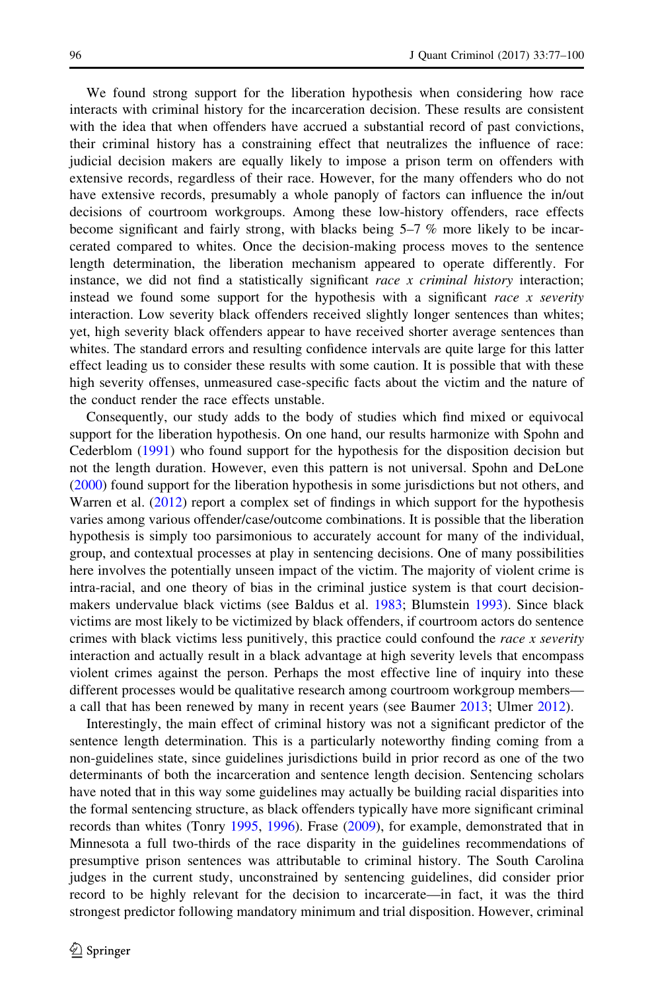We found strong support for the liberation hypothesis when considering how race interacts with criminal history for the incarceration decision. These results are consistent with the idea that when offenders have accrued a substantial record of past convictions, their criminal history has a constraining effect that neutralizes the influence of race: judicial decision makers are equally likely to impose a prison term on offenders with extensive records, regardless of their race. However, for the many offenders who do not have extensive records, presumably a whole panoply of factors can influence the in/out decisions of courtroom workgroups. Among these low-history offenders, race effects become significant and fairly strong, with blacks being 5–7 % more likely to be incarcerated compared to whites. Once the decision-making process moves to the sentence length determination, the liberation mechanism appeared to operate differently. For instance, we did not find a statistically significant *race x criminal history* interaction; instead we found some support for the hypothesis with a significant race x severity interaction. Low severity black offenders received slightly longer sentences than whites; yet, high severity black offenders appear to have received shorter average sentences than whites. The standard errors and resulting confidence intervals are quite large for this latter effect leading us to consider these results with some caution. It is possible that with these high severity offenses, unmeasured case-specific facts about the victim and the nature of the conduct render the race effects unstable.

Consequently, our study adds to the body of studies which find mixed or equivocal support for the liberation hypothesis. On one hand, our results harmonize with Spohn and Cederblom [\(1991](#page-23-0)) who found support for the hypothesis for the disposition decision but not the length duration. However, even this pattern is not universal. Spohn and DeLone ([2000\)](#page-23-0) found support for the liberation hypothesis in some jurisdictions but not others, and Warren et al. ([2012\)](#page-23-0) report a complex set of findings in which support for the hypothesis varies among various offender/case/outcome combinations. It is possible that the liberation hypothesis is simply too parsimonious to accurately account for many of the individual, group, and contextual processes at play in sentencing decisions. One of many possibilities here involves the potentially unseen impact of the victim. The majority of violent crime is intra-racial, and one theory of bias in the criminal justice system is that court decisionmakers undervalue black victims (see Baldus et al. [1983](#page-21-0); Blumstein [1993](#page-22-0)). Since black victims are most likely to be victimized by black offenders, if courtroom actors do sentence crimes with black victims less punitively, this practice could confound the race x severity interaction and actually result in a black advantage at high severity levels that encompass violent crimes against the person. Perhaps the most effective line of inquiry into these different processes would be qualitative research among courtroom workgroup members a call that has been renewed by many in recent years (see Baumer [2013](#page-21-0); Ulmer [2012](#page-23-0)).

Interestingly, the main effect of criminal history was not a significant predictor of the sentence length determination. This is a particularly noteworthy finding coming from a non-guidelines state, since guidelines jurisdictions build in prior record as one of the two determinants of both the incarceration and sentence length decision. Sentencing scholars have noted that in this way some guidelines may actually be building racial disparities into the formal sentencing structure, as black offenders typically have more significant criminal records than whites (Tonry [1995,](#page-23-0) [1996](#page-23-0)). Frase ([2009\)](#page-22-0), for example, demonstrated that in Minnesota a full two-thirds of the race disparity in the guidelines recommendations of presumptive prison sentences was attributable to criminal history. The South Carolina judges in the current study, unconstrained by sentencing guidelines, did consider prior record to be highly relevant for the decision to incarcerate—in fact, it was the third strongest predictor following mandatory minimum and trial disposition. However, criminal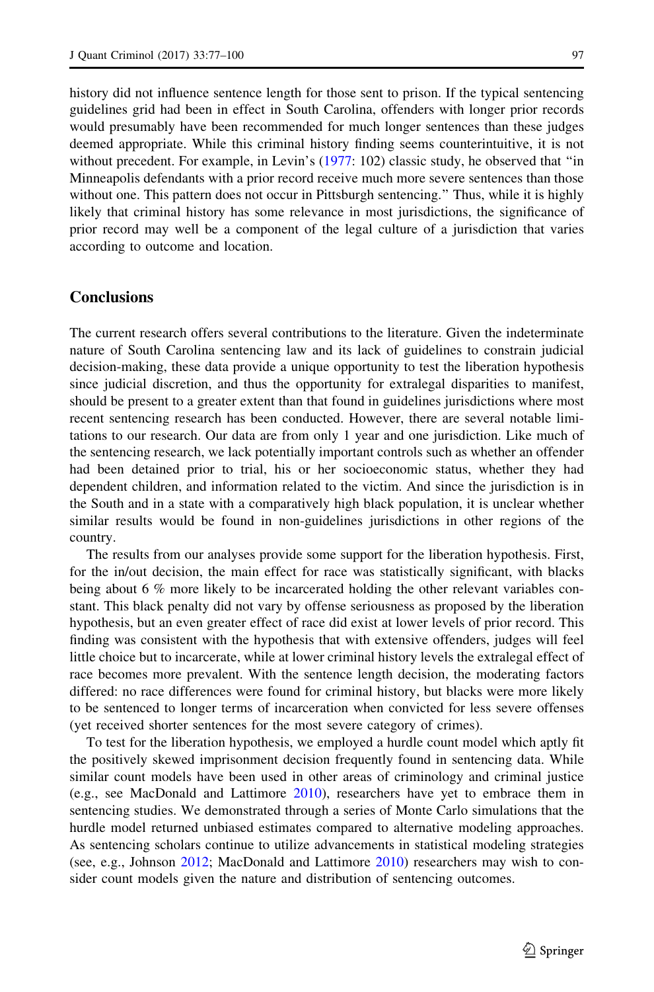history did not influence sentence length for those sent to prison. If the typical sentencing guidelines grid had been in effect in South Carolina, offenders with longer prior records would presumably have been recommended for much longer sentences than these judges deemed appropriate. While this criminal history finding seems counterintuitive, it is not without precedent. For example, in Levin's ([1977](#page-22-0): 102) classic study, he observed that ''in Minneapolis defendants with a prior record receive much more severe sentences than those without one. This pattern does not occur in Pittsburgh sentencing." Thus, while it is highly likely that criminal history has some relevance in most jurisdictions, the significance of prior record may well be a component of the legal culture of a jurisdiction that varies according to outcome and location.

## **Conclusions**

The current research offers several contributions to the literature. Given the indeterminate nature of South Carolina sentencing law and its lack of guidelines to constrain judicial decision-making, these data provide a unique opportunity to test the liberation hypothesis since judicial discretion, and thus the opportunity for extralegal disparities to manifest, should be present to a greater extent than that found in guidelines jurisdictions where most recent sentencing research has been conducted. However, there are several notable limitations to our research. Our data are from only 1 year and one jurisdiction. Like much of the sentencing research, we lack potentially important controls such as whether an offender had been detained prior to trial, his or her socioeconomic status, whether they had dependent children, and information related to the victim. And since the jurisdiction is in the South and in a state with a comparatively high black population, it is unclear whether similar results would be found in non-guidelines jurisdictions in other regions of the country.

The results from our analyses provide some support for the liberation hypothesis. First, for the in/out decision, the main effect for race was statistically significant, with blacks being about 6 % more likely to be incarcerated holding the other relevant variables constant. This black penalty did not vary by offense seriousness as proposed by the liberation hypothesis, but an even greater effect of race did exist at lower levels of prior record. This finding was consistent with the hypothesis that with extensive offenders, judges will feel little choice but to incarcerate, while at lower criminal history levels the extralegal effect of race becomes more prevalent. With the sentence length decision, the moderating factors differed: no race differences were found for criminal history, but blacks were more likely to be sentenced to longer terms of incarceration when convicted for less severe offenses (yet received shorter sentences for the most severe category of crimes).

To test for the liberation hypothesis, we employed a hurdle count model which aptly fit the positively skewed imprisonment decision frequently found in sentencing data. While similar count models have been used in other areas of criminology and criminal justice (e.g., see MacDonald and Lattimore [2010](#page-23-0)), researchers have yet to embrace them in sentencing studies. We demonstrated through a series of Monte Carlo simulations that the hurdle model returned unbiased estimates compared to alternative modeling approaches. As sentencing scholars continue to utilize advancements in statistical modeling strategies (see, e.g., Johnson [2012](#page-22-0); MacDonald and Lattimore [2010\)](#page-23-0) researchers may wish to consider count models given the nature and distribution of sentencing outcomes.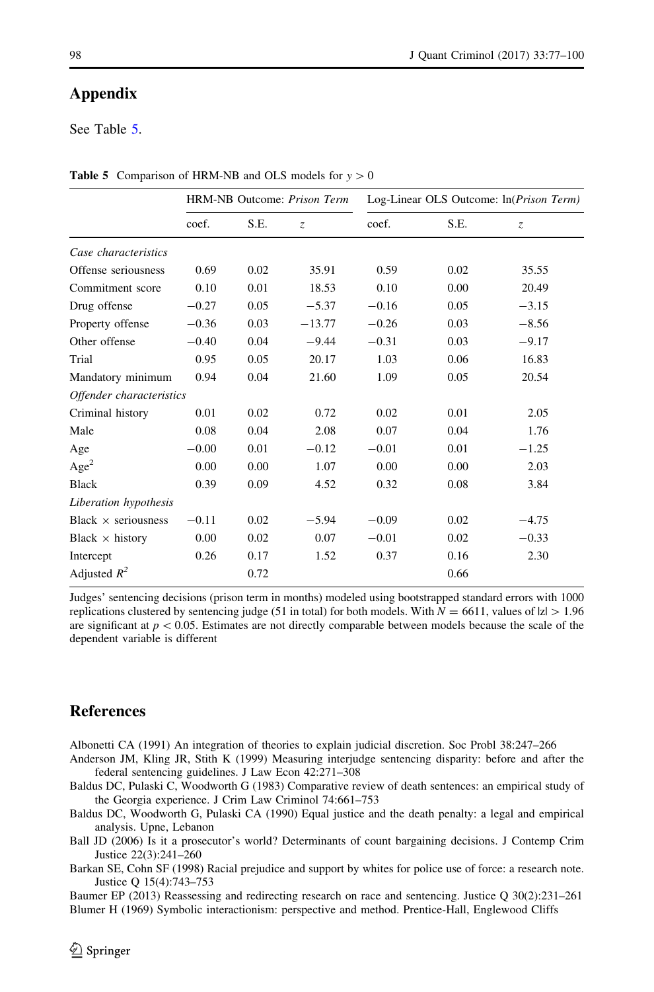# <span id="page-21-0"></span>Appendix

See Table 5.

|                            | HRM-NB Outcome: Prison Term |      |          | Log-Linear OLS Outcome: ln(Prison Term) |      |             |  |
|----------------------------|-----------------------------|------|----------|-----------------------------------------|------|-------------|--|
|                            | coef.                       | S.E. | Z.       | coef.                                   | S.E. | $Z_{\rm c}$ |  |
| Case characteristics       |                             |      |          |                                         |      |             |  |
| Offense seriousness        | 0.69                        | 0.02 | 35.91    | 0.59                                    | 0.02 | 35.55       |  |
| Commitment score           | 0.10                        | 0.01 | 18.53    | 0.10                                    | 0.00 | 20.49       |  |
| Drug offense               | $-0.27$                     | 0.05 | $-5.37$  | $-0.16$                                 | 0.05 | $-3.15$     |  |
| Property offense           | $-0.36$                     | 0.03 | $-13.77$ | $-0.26$                                 | 0.03 | $-8.56$     |  |
| Other offense              | $-0.40$                     | 0.04 | $-9.44$  | $-0.31$                                 | 0.03 | $-9.17$     |  |
| Trial                      | 0.95                        | 0.05 | 20.17    | 1.03                                    | 0.06 | 16.83       |  |
| Mandatory minimum          | 0.94                        | 0.04 | 21.60    | 1.09                                    | 0.05 | 20.54       |  |
| Offender characteristics   |                             |      |          |                                         |      |             |  |
| Criminal history           | 0.01                        | 0.02 | 0.72     | 0.02                                    | 0.01 | 2.05        |  |
| Male                       | 0.08                        | 0.04 | 2.08     | 0.07                                    | 0.04 | 1.76        |  |
| Age                        | $-0.00$                     | 0.01 | $-0.12$  | $-0.01$                                 | 0.01 | $-1.25$     |  |
| Age <sup>2</sup>           | 0.00                        | 0.00 | 1.07     | 0.00                                    | 0.00 | 2.03        |  |
| <b>Black</b>               | 0.39                        | 0.09 | 4.52     | 0.32                                    | 0.08 | 3.84        |  |
| Liberation hypothesis      |                             |      |          |                                         |      |             |  |
| Black $\times$ seriousness | $-0.11$                     | 0.02 | $-5.94$  | $-0.09$                                 | 0.02 | $-4.75$     |  |
| Black $\times$ history     | 0.00                        | 0.02 | 0.07     | $-0.01$                                 | 0.02 | $-0.33$     |  |
| Intercept                  | 0.26                        | 0.17 | 1.52     | 0.37                                    | 0.16 | 2.30        |  |
| Adjusted $R^2$             |                             | 0.72 |          |                                         | 0.66 |             |  |

**Table 5** Comparison of HRM-NB and OLS models for  $y > 0$ 

Judges' sentencing decisions (prison term in months) modeled using bootstrapped standard errors with 1000 replications clustered by sentencing judge (51 in total) for both models. With  $N = 6611$ , values of  $|z| > 1.96$ are significant at  $p < 0.05$ . Estimates are not directly comparable between models because the scale of the dependent variable is different

## **References**

Albonetti CA (1991) An integration of theories to explain judicial discretion. Soc Probl 38:247–266

Anderson JM, Kling JR, Stith K (1999) Measuring interjudge sentencing disparity: before and after the federal sentencing guidelines. J Law Econ 42:271–308

Baldus DC, Pulaski C, Woodworth G (1983) Comparative review of death sentences: an empirical study of the Georgia experience. J Crim Law Criminol 74:661–753

Baldus DC, Woodworth G, Pulaski CA (1990) Equal justice and the death penalty: a legal and empirical analysis. Upne, Lebanon

Ball JD (2006) Is it a prosecutor's world? Determinants of count bargaining decisions. J Contemp Crim Justice 22(3):241–260

Barkan SE, Cohn SF (1998) Racial prejudice and support by whites for police use of force: a research note. Justice Q 15(4):743–753

Baumer EP (2013) Reassessing and redirecting research on race and sentencing. Justice Q 30(2):231–261 Blumer H (1969) Symbolic interactionism: perspective and method. Prentice-Hall, Englewood Cliffs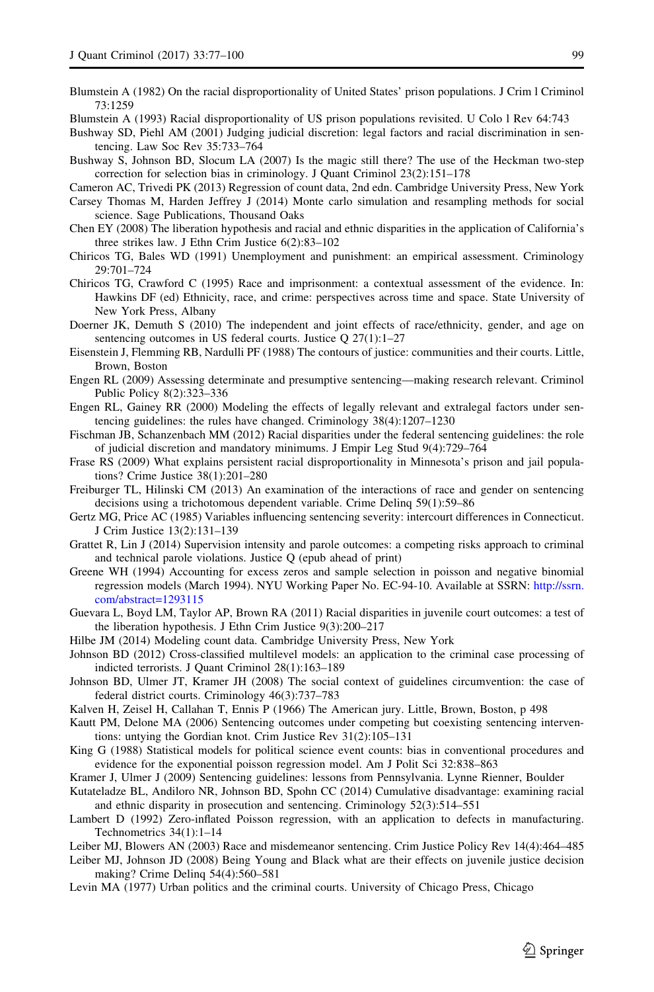<span id="page-22-0"></span>Blumstein A (1982) On the racial disproportionality of United States' prison populations. J Crim l Criminol 73:1259

Blumstein A (1993) Racial disproportionality of US prison populations revisited. U Colo l Rev 64:743

- Bushway SD, Piehl AM (2001) Judging judicial discretion: legal factors and racial discrimination in sentencing. Law Soc Rev 35:733–764
- Bushway S, Johnson BD, Slocum LA (2007) Is the magic still there? The use of the Heckman two-step correction for selection bias in criminology. J Quant Criminol 23(2):151–178

Cameron AC, Trivedi PK (2013) Regression of count data, 2nd edn. Cambridge University Press, New York

- Carsey Thomas M, Harden Jeffrey J (2014) Monte carlo simulation and resampling methods for social science. Sage Publications, Thousand Oaks
- Chen EY (2008) The liberation hypothesis and racial and ethnic disparities in the application of California's three strikes law. J Ethn Crim Justice 6(2):83–102
- Chiricos TG, Bales WD (1991) Unemployment and punishment: an empirical assessment. Criminology 29:701–724
- Chiricos TG, Crawford C (1995) Race and imprisonment: a contextual assessment of the evidence. In: Hawkins DF (ed) Ethnicity, race, and crime: perspectives across time and space. State University of New York Press, Albany
- Doerner JK, Demuth S (2010) The independent and joint effects of race/ethnicity, gender, and age on sentencing outcomes in US federal courts. Justice Q 27(1):1–27
- Eisenstein J, Flemming RB, Nardulli PF (1988) The contours of justice: communities and their courts. Little, Brown, Boston
- Engen RL (2009) Assessing determinate and presumptive sentencing—making research relevant. Criminol Public Policy 8(2):323–336
- Engen RL, Gainey RR (2000) Modeling the effects of legally relevant and extralegal factors under sentencing guidelines: the rules have changed. Criminology 38(4):1207–1230
- Fischman JB, Schanzenbach MM (2012) Racial disparities under the federal sentencing guidelines: the role of judicial discretion and mandatory minimums. J Empir Leg Stud 9(4):729–764
- Frase RS (2009) What explains persistent racial disproportionality in Minnesota's prison and jail populations? Crime Justice 38(1):201–280
- Freiburger TL, Hilinski CM (2013) An examination of the interactions of race and gender on sentencing decisions using a trichotomous dependent variable. Crime Delinq 59(1):59–86
- Gertz MG, Price AC (1985) Variables influencing sentencing severity: intercourt differences in Connecticut. J Crim Justice 13(2):131–139
- Grattet R, Lin J (2014) Supervision intensity and parole outcomes: a competing risks approach to criminal and technical parole violations. Justice Q (epub ahead of print)
- Greene WH (1994) Accounting for excess zeros and sample selection in poisson and negative binomial regression models (March 1994). NYU Working Paper No. EC-94-10. Available at SSRN: [http://ssrn.](http://ssrn.com/abstract=1293115) [com/abstract=1293115](http://ssrn.com/abstract=1293115)
- Guevara L, Boyd LM, Taylor AP, Brown RA (2011) Racial disparities in juvenile court outcomes: a test of the liberation hypothesis. J Ethn Crim Justice 9(3):200–217
- Hilbe JM (2014) Modeling count data. Cambridge University Press, New York
- Johnson BD (2012) Cross-classified multilevel models: an application to the criminal case processing of indicted terrorists. J Quant Criminol 28(1):163–189
- Johnson BD, Ulmer JT, Kramer JH (2008) The social context of guidelines circumvention: the case of federal district courts. Criminology 46(3):737–783
- Kalven H, Zeisel H, Callahan T, Ennis P (1966) The American jury. Little, Brown, Boston, p 498
- Kautt PM, Delone MA (2006) Sentencing outcomes under competing but coexisting sentencing interventions: untying the Gordian knot. Crim Justice Rev 31(2):105–131
- King G (1988) Statistical models for political science event counts: bias in conventional procedures and evidence for the exponential poisson regression model. Am J Polit Sci 32:838–863

Kramer J, Ulmer J (2009) Sentencing guidelines: lessons from Pennsylvania. Lynne Rienner, Boulder

- Kutateladze BL, Andiloro NR, Johnson BD, Spohn CC (2014) Cumulative disadvantage: examining racial and ethnic disparity in prosecution and sentencing. Criminology 52(3):514–551
- Lambert D (1992) Zero-inflated Poisson regression, with an application to defects in manufacturing. Technometrics 34(1):1–14
- Leiber MJ, Blowers AN (2003) Race and misdemeanor sentencing. Crim Justice Policy Rev 14(4):464–485

Leiber MJ, Johnson JD (2008) Being Young and Black what are their effects on juvenile justice decision making? Crime Delinq 54(4):560–581

Levin MA (1977) Urban politics and the criminal courts. University of Chicago Press, Chicago